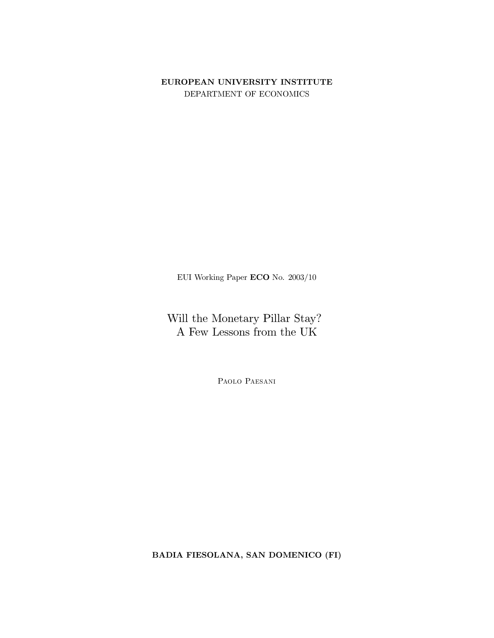# EUROPEAN UNIVERSITY INSTITUTE DEPARTMENT OF ECONOMICS

EUI Working Paper  $\mathbf{ECO}$  No. 2003/10

Will the Monetary Pillar Stay? A Few Lessons from the  $\rm UK$ 

PAOLO PAESANI

BADIA FIESOLANA, SAN DOMENICO (FI)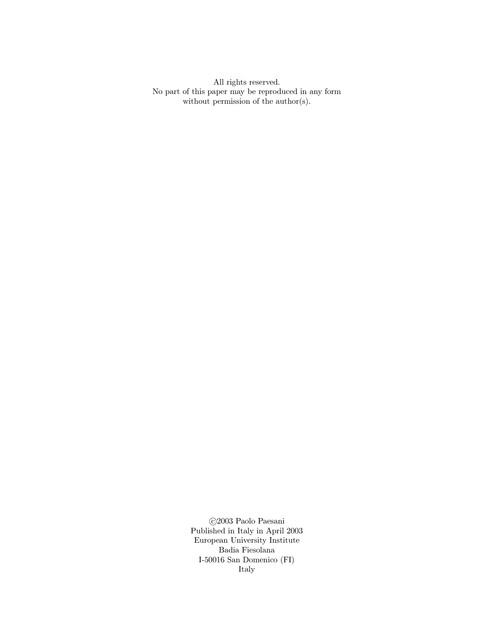All rights reserved. No part of this paper may be reproduced in any form without permission of the author(s).

> $\bigodot\!2003$  Pa<br/>olo Paesani Published in Italy in April  $2003$ European University Institute Badia Fiesolana I-50016 San Domenico  $(FI)$ Italy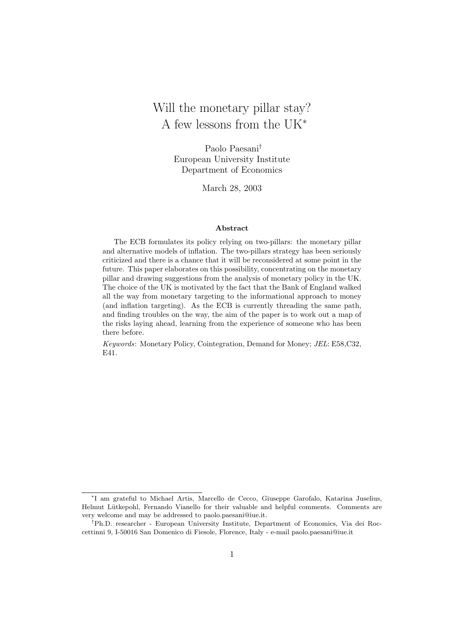# Will the monetary pillar stay? A few lessons from the UK<sup>∗</sup>

Paolo Paesani† European University Institute Department of Economics

March 28, 2003

## Abstract

The ECB formulates its policy relying on two-pillars: the monetary pillar and alternative models of inflation. The two-pillars strategy has been seriously criticized and there is a chance that it will be reconsidered at some point in the future. This paper elaborates on this possibility, concentrating on the monetary pillar and drawing suggestions from the analysis of monetary policy in the UK. The choice of the UK is motivated by the fact that the Bank of England walked all the way from monetary targeting to the informational approach to money (and inflation targeting). As the ECB is currently threading the same path, and finding troubles on the way, the aim of the paper is to work out a map of the risks laying ahead, learning from the experience of someone who has been there before.

Keywords: Monetary Policy, Cointegration, Demand for Money; JEL: E58,C32, E41.

<sup>∗</sup> I am grateful to Michael Artis, Marcello de Cecco, Giuseppe Garofalo, Katarina Juselius, Helmut Lütkepohl, Fernando Vianello for their valuable and helpful comments. Comments are very welcome and may be addressed to paolo.paesani@iue.it.

<sup>†</sup>Ph.D. researcher - European University Institute, Department of Economics, Via dei Roccettinni 9, I-50016 San Domenico di Fiesole, Florence, Italy - e-mail paolo.paesani@iue.it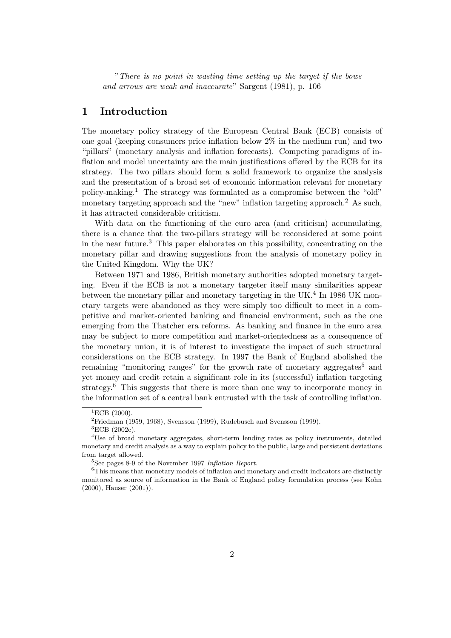"There is no point in wasting time setting up the target if the bows and arrows are weak and inaccurate" Sargent (1981), p. 106

# 1 Introduction

The monetary policy strategy of the European Central Bank (ECB) consists of one goal (keeping consumers price inflation below 2% in the medium run) and two "pillars" (monetary analysis and inflation forecasts). Competing paradigms of inflation and model uncertainty are the main justifications offered by the ECB for its strategy. The two pillars should form a solid framework to organize the analysis and the presentation of a broad set of economic information relevant for monetary policy-making.<sup>1</sup> The strategy was formulated as a compromise between the "old" monetary targeting approach and the "new" inflation targeting approach.<sup>2</sup> As such, it has attracted considerable criticism.

With data on the functioning of the euro area (and criticism) accumulating, there is a chance that the two-pillars strategy will be reconsidered at some point in the near future.<sup>3</sup> This paper elaborates on this possibility, concentrating on the monetary pillar and drawing suggestions from the analysis of monetary policy in the United Kingdom. Why the UK?

Between 1971 and 1986, British monetary authorities adopted monetary targeting. Even if the ECB is not a monetary targeter itself many similarities appear between the monetary pillar and monetary targeting in the UK.<sup>4</sup> In 1986 UK monetary targets were abandoned as they were simply too difficult to meet in a competitive and market-oriented banking and financial environment, such as the one emerging from the Thatcher era reforms. As banking and finance in the euro area may be subject to more competition and market-orientedness as a consequence of the monetary union, it is of interest to investigate the impact of such structural considerations on the ECB strategy. In 1997 the Bank of England abolished the remaining "monitoring ranges" for the growth rate of monetary aggregates<sup>5</sup> and yet money and credit retain a significant role in its (successful) inflation targeting strategy.<sup>6</sup> This suggests that there is more than one way to incorporate money in the information set of a central bank entrusted with the task of controlling inflation.

 ${}^{1}$ ECB  $(2000)$ .

 ${}^{2}$ Friedman (1959, 1968), Svensson (1999), Rudebusch and Svensson (1999).

 ${}^{3}$ ECB (2002c).

<sup>4</sup>Use of broad monetary aggregates, short-term lending rates as policy instruments, detailed monetary and credit analysis as a way to explain policy to the public, large and persistent deviations from target allowed.

 $5$ See pages 8-9 of the November 1997 Inflation Report.

 ${}^{6}$ This means that monetary models of inflation and monetary and credit indicators are distinctly monitored as source of information in the Bank of England policy formulation process (see Kohn (2000), Hauser (2001)).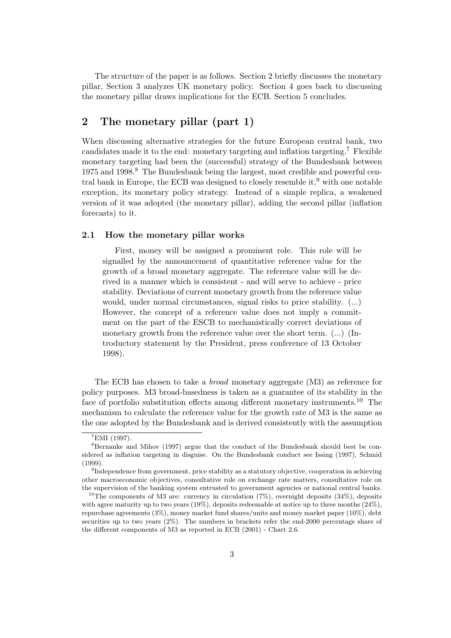The structure of the paper is as follows. Section 2 briefly discusses the monetary pillar, Section 3 analyzes UK monetary policy. Section 4 goes back to discussing the monetary pillar draws implications for the ECB. Section 5 concludes.

# 2 The monetary pillar (part 1)

When discussing alternative strategies for the future European central bank, two candidates made it to the end: monetary targeting and inflation targeting.<sup>7</sup> Flexible monetary targeting had been the (successful) strategy of the Bundesbank between 1975 and 1998.<sup>8</sup> The Bundesbank being the largest, most credible and powerful central bank in Europe, the ECB was designed to closely resemble it,  $9$  with one notable exception, its monetary policy strategy. Instead of a simple replica, a weakened version of it was adopted (the monetary pillar), adding the second pillar (inflation forecasts) to it.

## 2.1 How the monetary pillar works

First, money will be assigned a prominent role. This role will be signalled by the announcement of quantitative reference value for the growth of a broad monetary aggregate. The reference value will be derived in a manner which is consistent - and will serve to achieve - price stability. Deviations of current monetary growth from the reference value would, under normal circumstances, signal risks to price stability. (...) However, the concept of a reference value does not imply a commitment on the part of the ESCB to mechanistically correct deviations of monetary growth from the reference value over the short term. (...) (Introductory statement by the President, press conference of 13 October 1998).

The ECB has chosen to take a *broad* monetary aggregate (M3) as reference for policy purposes. M3 broad-basedness is taken as a guarantee of its stability in the face of portfolio substitution effects among different monetary instruments.<sup>10</sup> The mechanism to calculate the reference value for the growth rate of M3 is the same as the one adopted by the Bundesbank and is derived consistently with the assumption

 ${}^{7}$ EMI (1997).

<sup>&</sup>lt;sup>8</sup>Bernanke and Mihov (1997) argue that the conduct of the Bundesbank should best be considered as inflation targeting in disguise. On the Bundesbank conduct see Issing (1997), Schmid (1999).

<sup>&</sup>lt;sup>9</sup>Independence from government, price stability as a statutory objective, cooperation in achieving other macroeconomic objectives, consultative role on exchange rate matters, consultative role on the supervision of the banking system entrusted to government agencies or national central banks.

<sup>&</sup>lt;sup>10</sup>The components of M3 are: currency in circulation  $(7\%)$ , overnight deposits  $(34\%)$ , deposits with agree maturity up to two years  $(19\%)$ , deposits redeemable at notice up to three months  $(24\%)$ , repurchase agreements (3%), money market fund shares/units and money market paper (10%), debt securities up to two years  $(2\%)$ . The numbers in brackets refer the end-2000 percentage share of the different components of M3 as reported in ECB (2001) - Chart 2.6.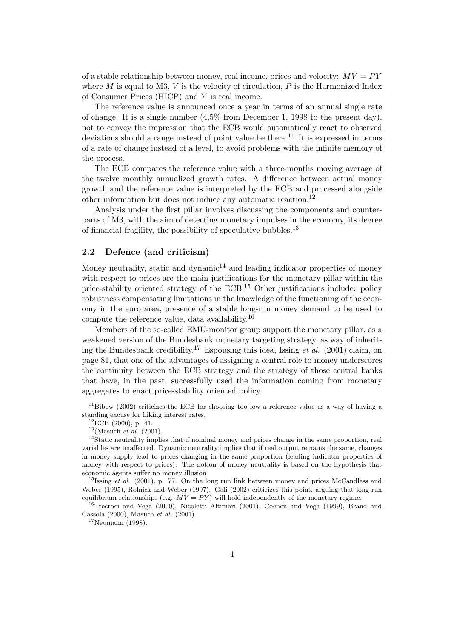of a stable relationship between money, real income, prices and velocity:  $MV = PY$ where  $M$  is equal to M3,  $V$  is the velocity of circulation,  $P$  is the Harmonized Index of Consumer Prices (HICP) and Y is real income.

The reference value is announced once a year in terms of an annual single rate of change. It is a single number  $(4.5\%$  from December 1, 1998 to the present day), not to convey the impression that the ECB would automatically react to observed deviations should a range instead of point value be there.<sup>11</sup> It is expressed in terms of a rate of change instead of a level, to avoid problems with the infinite memory of the process.

The ECB compares the reference value with a three-months moving average of the twelve monthly annualized growth rates. A difference between actual money growth and the reference value is interpreted by the ECB and processed alongside other information but does not induce any automatic reaction.<sup>12</sup>

Analysis under the first pillar involves discussing the components and counterparts of M3, with the aim of detecting monetary impulses in the economy, its degree of financial fragility, the possibility of speculative bubbles.<sup>13</sup>

# 2.2 Defence (and criticism)

Money neutrality, static and dynamic $14$  and leading indicator properties of money with respect to prices are the main justifications for the monetary pillar within the price-stability oriented strategy of the ECB.<sup>15</sup> Other justifications include: policy robustness compensating limitations in the knowledge of the functioning of the economy in the euro area, presence of a stable long-run money demand to be used to compute the reference value, data availability.<sup>16</sup>

Members of the so-called EMU-monitor group support the monetary pillar, as a weakened version of the Bundesbank monetary targeting strategy, as way of inheriting the Bundesbank credibility.<sup>17</sup> Espousing this idea, Issing *et al.* (2001) claim, on page 81, that one of the advantages of assigning a central role to money underscores the continuity between the ECB strategy and the strategy of those central banks that have, in the past, successfully used the information coming from monetary aggregates to enact price-stability oriented policy.

<sup>16</sup>Trecroci and Vega (2000), Nicoletti Altimari (2001), Coenen and Vega (1999), Brand and Cassola (2000), Masuch et al. (2001).

 $^{17}$ Neumann (1998).

<sup>&</sup>lt;sup>11</sup>Bibow (2002) criticizes the ECB for choosing too low a reference value as a way of having a standing excuse for hiking interest rates.

 ${}^{12}$ ECB (2000), p. 41.

 $13$ (Masuch *et al.* (2001).

<sup>&</sup>lt;sup>14</sup>Static neutrality implies that if nominal money and prices change in the same proportion, real variables are unaffected. Dynamic neutrality implies that if real output remains the same, changes in money supply lead to prices changing in the same proportion (leading indicator properties of money with respect to prices). The notion of money neutrality is based on the hypothesis that economic agents suffer no money illusion

<sup>&</sup>lt;sup>15</sup>Issing *et al.* (2001), p. 77. On the long run link between money and prices McCandless and Weber (1995), Rolnick and Weber (1997). Gali (2002) criticizes this point, arguing that long-run equilibrium relationships (e.g.  $MV = PY$ ) will hold independently of the monetary regime.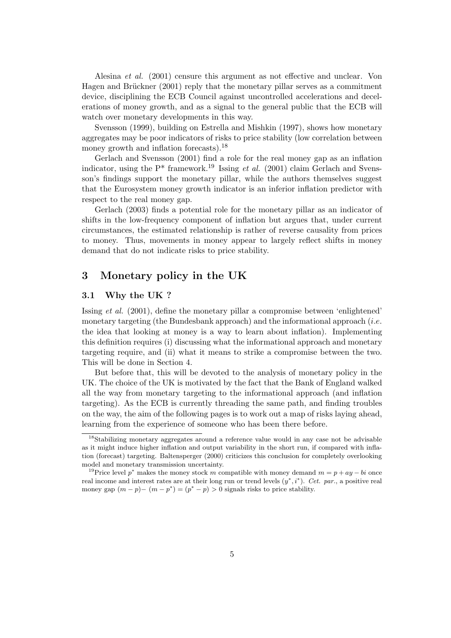Alesina et al. (2001) censure this argument as not effective and unclear. Von Hagen and Brückner (2001) reply that the monetary pillar serves as a commitment device, disciplining the ECB Council against uncontrolled accelerations and decelerations of money growth, and as a signal to the general public that the ECB will watch over monetary developments in this way.

Svensson (1999), building on Estrella and Mishkin (1997), shows how monetary aggregates may be poor indicators of risks to price stability (low correlation between money growth and inflation forecasts).<sup>18</sup>

Gerlach and Svensson (2001) find a role for the real money gap as an inflation indicator, using the  $P^*$  framework.<sup>19</sup> Issing *et al.* (2001) claim Gerlach and Svensson's findings support the monetary pillar, while the authors themselves suggest that the Eurosystem money growth indicator is an inferior inflation predictor with respect to the real money gap.

Gerlach (2003) finds a potential role for the monetary pillar as an indicator of shifts in the low-frequency component of inflation but argues that, under current circumstances, the estimated relationship is rather of reverse causality from prices to money. Thus, movements in money appear to largely reflect shifts in money demand that do not indicate risks to price stability.

# 3 Monetary policy in the UK

# 3.1 Why the UK ?

Issing et al. (2001), define the monetary pillar a compromise between 'enlightened' monetary targeting (the Bundesbank approach) and the informational approach *(i.e.* the idea that looking at money is a way to learn about inflation). Implementing this definition requires (i) discussing what the informational approach and monetary targeting require, and (ii) what it means to strike a compromise between the two. This will be done in Section 4.

But before that, this will be devoted to the analysis of monetary policy in the UK. The choice of the UK is motivated by the fact that the Bank of England walked all the way from monetary targeting to the informational approach (and inflation targeting). As the ECB is currently threading the same path, and finding troubles on the way, the aim of the following pages is to work out a map of risks laying ahead, learning from the experience of someone who has been there before.

<sup>18</sup>Stabilizing monetary aggregates around a reference value would in any case not be advisable as it might induce higher inflation and output variability in the short run, if compared with inflation (forecast) targeting. Baltensperger (2000) criticizes this conclusion for completely overlooking model and monetary transmission uncertainty.

<sup>&</sup>lt;sup>19</sup>Price level p<sup>\*</sup> makes the money stock m compatible with money demand  $m = p + ay - bi$  once real income and interest rates are at their long run or trend levels  $(y^*, i^*)$ . Cet. par., a positive real money gap  $(m - p) - (m - p^*) = (p^* - p) > 0$  signals risks to price stability.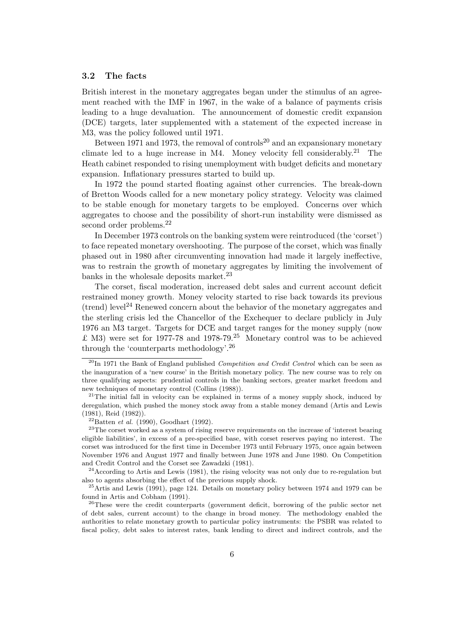#### 3.2 The facts

British interest in the monetary aggregates began under the stimulus of an agreement reached with the IMF in 1967, in the wake of a balance of payments crisis leading to a huge devaluation. The announcement of domestic credit expansion (DCE) targets, later supplemented with a statement of the expected increase in M3, was the policy followed until 1971.

Between 1971 and 1973, the removal of controls<sup>20</sup> and an expansionary monetary climate led to a huge increase in M4. Money velocity fell considerably.<sup>21</sup> The Heath cabinet responded to rising unemployment with budget deficits and monetary expansion. Inflationary pressures started to build up.

In 1972 the pound started floating against other currencies. The break-down of Bretton Woods called for a new monetary policy strategy. Velocity was claimed to be stable enough for monetary targets to be employed. Concerns over which aggregates to choose and the possibility of short-run instability were dismissed as second order problems.<sup>22</sup>

In December 1973 controls on the banking system were reintroduced (the 'corset') to face repeated monetary overshooting. The purpose of the corset, which was finally phased out in 1980 after circumventing innovation had made it largely ineffective, was to restrain the growth of monetary aggregates by limiting the involvement of banks in the wholesale deposits market.<sup>23</sup>

The corset, fiscal moderation, increased debt sales and current account deficit restrained money growth. Money velocity started to rise back towards its previous (trend) level<sup>24</sup> Renewed concern about the behavior of the monetary aggregates and the sterling crisis led the Chancellor of the Exchequer to declare publicly in July 1976 an M3 target. Targets for DCE and target ranges for the money supply (now £ M3) were set for 1977-78 and 1978-79.<sup>25</sup> Monetary control was to be achieved through the 'counterparts methodology'.<sup>26</sup>

 $24$ According to Artis and Lewis (1981), the rising velocity was not only due to re-regulation but also to agents absorbing the effect of the previous supply shock.

 $25$ Artis and Lewis (1991), page 124. Details on monetary policy between 1974 and 1979 can be found in Artis and Cobham (1991).

 $^{20}$ In 1971 the Bank of England published *Competition and Credit Control* which can be seen as the inauguration of a 'new course' in the British monetary policy. The new course was to rely on three qualifying aspects: prudential controls in the banking sectors, greater market freedom and new techniques of monetary control (Collins (1988)).

 $21$ The initial fall in velocity can be explained in terms of a money supply shock, induced by deregulation, which pushed the money stock away from a stable money demand (Artis and Lewis (1981), Reid (1982)).

 $^{22}$ Batten *et al.* (1990), Goodhart (1992).

<sup>&</sup>lt;sup>23</sup>The corset worked as a system of rising reserve requirements on the increase of 'interest bearing eligible liabilities', in excess of a pre-specified base, with corset reserves paying no interest. The corset was introduced for the first time in December 1973 until February 1975, once again between November 1976 and August 1977 and finally between June 1978 and June 1980. On Competition and Credit Control and the Corset see Zawadzki (1981).

<sup>&</sup>lt;sup>26</sup>These were the credit counterparts (government deficit, borrowing of the public sector net of debt sales, current account) to the change in broad money. The methodology enabled the authorities to relate monetary growth to particular policy instruments: the PSBR was related to fiscal policy, debt sales to interest rates, bank lending to direct and indirect controls, and the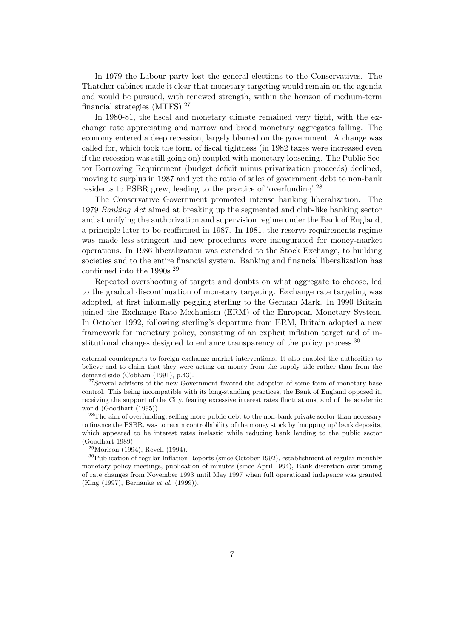In 1979 the Labour party lost the general elections to the Conservatives. The Thatcher cabinet made it clear that monetary targeting would remain on the agenda and would be pursued, with renewed strength, within the horizon of medium-term financial strategies (MTFS).<sup>27</sup>

In 1980-81, the fiscal and monetary climate remained very tight, with the exchange rate appreciating and narrow and broad monetary aggregates falling. The economy entered a deep recession, largely blamed on the government. A change was called for, which took the form of fiscal tightness (in 1982 taxes were increased even if the recession was still going on) coupled with monetary loosening. The Public Sector Borrowing Requirement (budget deficit minus privatization proceeds) declined, moving to surplus in 1987 and yet the ratio of sales of government debt to non-bank residents to PSBR grew, leading to the practice of 'overfunding'.<sup>28</sup>

The Conservative Government promoted intense banking liberalization. The 1979 Banking Act aimed at breaking up the segmented and club-like banking sector and at unifying the authorization and supervision regime under the Bank of England, a principle later to be reaffirmed in 1987. In 1981, the reserve requirements regime was made less stringent and new procedures were inaugurated for money-market operations. In 1986 liberalization was extended to the Stock Exchange, to building societies and to the entire financial system. Banking and financial liberalization has continued into the 1990s.<sup>29</sup>

Repeated overshooting of targets and doubts on what aggregate to choose, led to the gradual discontinuation of monetary targeting. Exchange rate targeting was adopted, at first informally pegging sterling to the German Mark. In 1990 Britain joined the Exchange Rate Mechanism (ERM) of the European Monetary System. In October 1992, following sterling's departure from ERM, Britain adopted a new framework for monetary policy, consisting of an explicit inflation target and of institutional changes designed to enhance transparency of the policy process.<sup>30</sup>

 $29$ Morison (1994), Revell (1994).

external counterparts to foreign exchange market interventions. It also enabled the authorities to believe and to claim that they were acting on money from the supply side rather than from the demand side (Cobham (1991), p.43).

<sup>&</sup>lt;sup>27</sup>Several advisers of the new Government favored the adoption of some form of monetary base control. This being incompatible with its long-standing practices, the Bank of England opposed it, receiving the support of the City, fearing excessive interest rates fluctuations, and of the academic world (Goodhart (1995)).

<sup>&</sup>lt;sup>28</sup>The aim of overfunding, selling more public debt to the non-bank private sector than necessary to finance the PSBR, was to retain controllability of the money stock by 'mopping up' bank deposits, which appeared to be interest rates inelastic while reducing bank lending to the public sector (Goodhart 1989).

<sup>30</sup>Publication of regular Inflation Reports (since October 1992), establishment of regular monthly monetary policy meetings, publication of minutes (since April 1994), Bank discretion over timing of rate changes from November 1993 until May 1997 when full operational indepence was granted (King (1997), Bernanke et al. (1999)).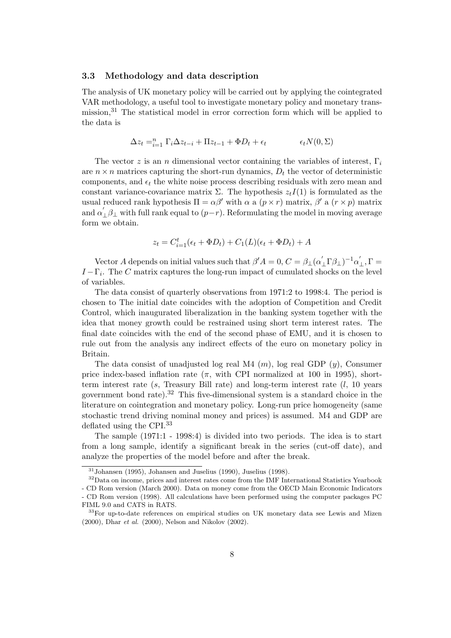#### 3.3 Methodology and data description

The analysis of UK monetary policy will be carried out by applying the cointegrated VAR methodology, a useful tool to investigate monetary policy and monetary transmission,<sup>31</sup> The statistical model in error correction form which will be applied to the data is

$$
\Delta z_t =_{i=1}^n \Gamma_i \Delta z_{t-i} + \Pi z_{t-1} + \Phi D_t + \epsilon_t \qquad \epsilon_t N(0, \Sigma)
$$

The vector z is an n dimensional vector containing the variables of interest,  $\Gamma_i$ are  $n \times n$  matrices capturing the short-run dynamics,  $D_t$  the vector of deterministic components, and  $\epsilon_t$  the white noise process describing residuals with zero mean and constant variance-covariance matrix  $\Sigma$ . The hypothesis  $z_tI(1)$  is formulated as the usual reduced rank hypothesis  $\Pi = \alpha \beta'$  with  $\alpha$  a  $(p \times r)$  matrix,  $\beta'$  a  $(r \times p)$  matrix and  $\alpha'$  $\int_{\perp}\beta_{\perp}$  with full rank equal to  $(p-r)$ . Reformulating the model in moving average form we obtain.

$$
z_t = C_{i=1}^t(\epsilon_t + \Phi D_t) + C_1(L)(\epsilon_t + \Phi D_t) + A
$$

Vector A depends on initial values such that  $\beta' A = 0, C = \beta_{\perp} (\alpha'_{\perp} \Gamma \beta_{\perp})^{-1} \alpha'$  $_{\perp }^{\prime },\Gamma =% \frac{1}{2}m\left( 1-\frac{1}{2}\right) ^{2}$  $I-\Gamma_i$ . The C matrix captures the long-run impact of cumulated shocks on the level of variables.

The data consist of quarterly observations from 1971:2 to 1998:4. The period is chosen to The initial date coincides with the adoption of Competition and Credit Control, which inaugurated liberalization in the banking system together with the idea that money growth could be restrained using short term interest rates. The final date coincides with the end of the second phase of EMU, and it is chosen to rule out from the analysis any indirect effects of the euro on monetary policy in Britain.

The data consist of unadjusted log real M4  $(m)$ , log real GDP  $(y)$ , Consumer price index-based inflation rate  $(\pi, \text{ with } CPI$  normalized at 100 in 1995), shortterm interest rate (s, Treasury Bill rate) and long-term interest rate  $(l, 10$  years government bond rate). $32$  This five-dimensional system is a standard choice in the literature on cointegration and monetary policy. Long-run price homogeneity (same stochastic trend driving nominal money and prices) is assumed. M4 and GDP are deflated using the CPI.<sup>33</sup>

The sample (1971:1 - 1998:4) is divided into two periods. The idea is to start from a long sample, identify a significant break in the series (cut-off date), and analyze the properties of the model before and after the break.

 $31$ Johansen (1995), Johansen and Juselius (1990), Juselius (1998).

<sup>&</sup>lt;sup>32</sup>Data on income, prices and interest rates come from the IMF International Statistics Yearbook - CD Rom version (March 2000). Data on money come from the OECD Main Economic Indicators - CD Rom version (1998). All calculations have been performed using the computer packages PC FIML 9.0 and CATS in RATS.

<sup>&</sup>lt;sup>33</sup>For up-to-date references on empirical studies on UK monetary data see Lewis and Mizen (2000), Dhar et al. (2000), Nelson and Nikolov (2002).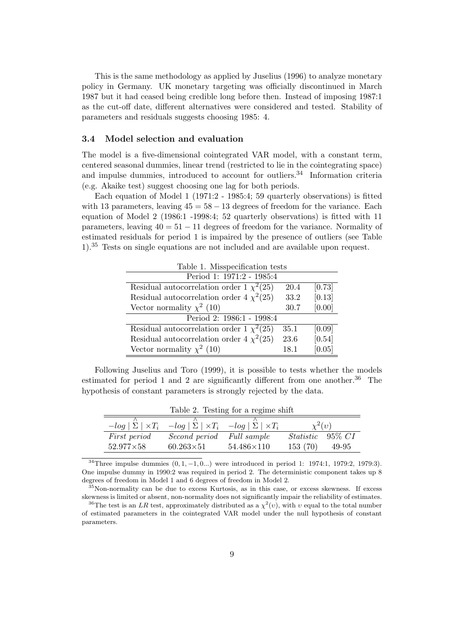This is the same methodology as applied by Juselius (1996) to analyze monetary policy in Germany. UK monetary targeting was officially discontinued in March 1987 but it had ceased being credible long before then. Instead of imposing 1987:1 as the cut-off date, different alternatives were considered and tested. Stability of parameters and residuals suggests choosing 1985: 4.

## 3.4 Model selection and evaluation

The model is a five-dimensional cointegrated VAR model, with a constant term, centered seasonal dummies, linear trend (restricted to lie in the cointegrating space) and impulse dummies, introduced to account for outliers.<sup>34</sup> Information criteria (e.g. Akaike test) suggest choosing one lag for both periods.

Each equation of Model 1 (1971:2 - 1985:4; 59 quarterly observations) is fitted with 13 parameters, leaving  $45 = 58 - 13$  degrees of freedom for the variance. Each equation of Model 2 (1986:1 -1998:4; 52 quarterly observations) is fitted with 11 parameters, leaving  $40 = 51 - 11$  degrees of freedom for the variance. Normality of estimated residuals for period 1 is impaired by the presence of outliers (see Table 1).<sup>35</sup> Tests on single equations are not included and are available upon request.

| Table 1. Misspecification tests               |      |        |  |
|-----------------------------------------------|------|--------|--|
| Period 1: 1971:2 - 1985:4                     |      |        |  |
| Residual autocorrelation order 1 $\chi^2(25)$ | 20.4 | [0.73] |  |
| Residual autocorrelation order 4 $\chi^2(25)$ | 33.2 | [0.13] |  |
| Vector normality $\chi^2$ (10)                | 30.7 | [0.00] |  |
| Period 2: 1986:1 - 1998:4                     |      |        |  |
| Residual autocorrelation order 1 $\chi^2(25)$ | 35.1 | [0.09] |  |
| Residual autocorrelation order 4 $\chi^2(25)$ | 23.6 | [0.54] |  |
| Vector normality $\chi^2$ (10)                | 18.1 | [0.05] |  |

Following Juselius and Toro (1999), it is possible to tests whether the models estimated for period 1 and 2 are significantly different from one another.<sup>36</sup> The hypothesis of constant parameters is strongly rejected by the data.

| $\frac{1}{2}$                |                            |                            |                   |           |  |
|------------------------------|----------------------------|----------------------------|-------------------|-----------|--|
|                              |                            |                            |                   |           |  |
| $-log   \Sigma   \times T_i$ | $-log  \Sigma  \times T_i$ | $-log  \Sigma  \times T_i$ | $\chi^2(v)$       |           |  |
| <i>First period</i>          | Second period              | <i>Full sample</i>         | $\textit{Static}$ | $95\%~CI$ |  |
| $52.977\times58$             | $60.263\times51$           | $54.486\times110$          | 153(70)           | 49-95     |  |

Table 2. Testing for a regime shift

 $34$ Three impulse dummies  $(0, 1, -1, 0, ...)$  were introduced in period 1: 1974:1, 1979:2, 1979:3). One impulse dummy in 1990:2 was required in period 2. The deterministic component takes up 8 degrees of freedom in Model 1 and 6 degrees of freedom in Model 2.

 $35$ Non-normality can be due to excess Kurtosis, as in this case, or excess skewness. If excess skewness is limited or absent, non-normality does not significantly impair the reliability of estimates.

<sup>&</sup>lt;sup>36</sup>The test is an LR test, approximately distributed as a  $\chi^2(v)$ , with v equal to the total number of estimated parameters in the cointegrated VAR model under the null hypothesis of constant parameters.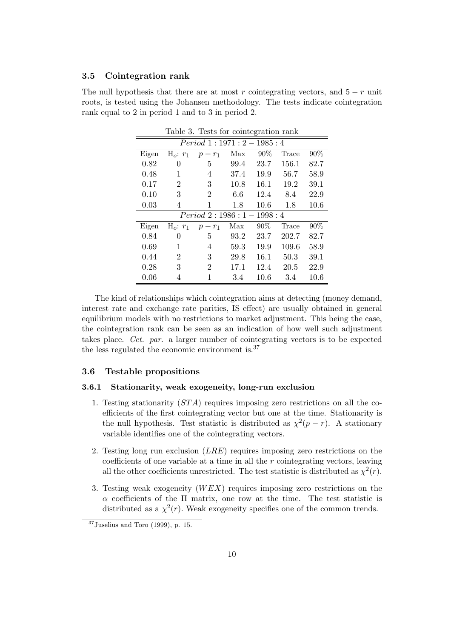#### 3.5 Cointegration rank

The null hypothesis that there are at most r cointegrating vectors, and  $5 - r$  unit roots, is tested using the Johansen methodology. The tests indicate cointegration rank equal to 2 in period 1 and to 3 in period 2.

| ranic o.<br><b>TOSUS TOT COTTIGGLATION LATIN</b> |                |                              |      |        |       |      |
|--------------------------------------------------|----------------|------------------------------|------|--------|-------|------|
| $Period\ 1:1971:2-1985:4$                        |                |                              |      |        |       |      |
| Eigen                                            | $H_o: r_1$     | $p-r_1$                      | Max  | $90\%$ | Trace | 90%  |
| 0.82                                             | 0              | 5                            | 99.4 | 23.7   | 156.1 | 82.7 |
| 0.48                                             | 1              | 4                            | 37.4 | 19.9   | 56.7  | 58.9 |
| 0.17                                             | 2              | 3                            | 10.8 | 16.1   | 19.2  | 39.1 |
| 0.10                                             | 3              | $\overline{2}$               | 6.6  | 12.4   | 8.4   | 22.9 |
| 0.03                                             | 4              | 1                            | 1.8  | 10.6   | 1.8   | 10.6 |
|                                                  |                | $Period\ 2: 1986: 1-1998: 4$ |      |        |       |      |
| Eigen                                            | $H_o: r_1$     | $p-r_1$                      | Max  | 90%    | Trace | 90%  |
| 0.84                                             | 0              | 5                            | 93.2 | 23.7   | 202.7 | 82.7 |
| 0.69                                             | 1              | 4                            | 59.3 | 19.9   | 109.6 | 58.9 |
| 0.44                                             | $\overline{2}$ | 3                            | 29.8 | 16.1   | 50.3  | 39.1 |
| 0.28                                             | 3              | $\overline{2}$               | 17.1 | 12.4   | 20.5  | 22.9 |
| 0.06                                             | 4              |                              | 3.4  | 10.6   | 3.4   | 10.6 |

Table 3. Tests for cointegration rank

The kind of relationships which cointegration aims at detecting (money demand, interest rate and exchange rate parities, IS effect) are usually obtained in general equilibrium models with no restrictions to market adjustment. This being the case, the cointegration rank can be seen as an indication of how well such adjustment takes place. Cet. par. a larger number of cointegrating vectors is to be expected the less regulated the economic environment is.<sup>37</sup>

# 3.6 Testable propositions

# 3.6.1 Stationarity, weak exogeneity, long-run exclusion

- 1. Testing stationarity (ST A) requires imposing zero restrictions on all the coefficients of the first cointegrating vector but one at the time. Stationarity is the null hypothesis. Test statistic is distributed as  $\chi^2(p-r)$ . A stationary variable identifies one of the cointegrating vectors.
- 2. Testing long run exclusion  $(LRE)$  requires imposing zero restrictions on the coefficients of one variable at a time in all the  $r$  cointegrating vectors, leaving all the other coefficients unrestricted. The test statistic is distributed as  $\chi^2(r)$ .
- 3. Testing weak exogeneity  $(WEX)$  requires imposing zero restrictions on the  $\alpha$  coefficients of the  $\Pi$  matrix, one row at the time. The test statistic is distributed as a  $\chi^2(r)$ . Weak exogeneity specifies one of the common trends.

 $37$ Juselius and Toro (1999), p. 15.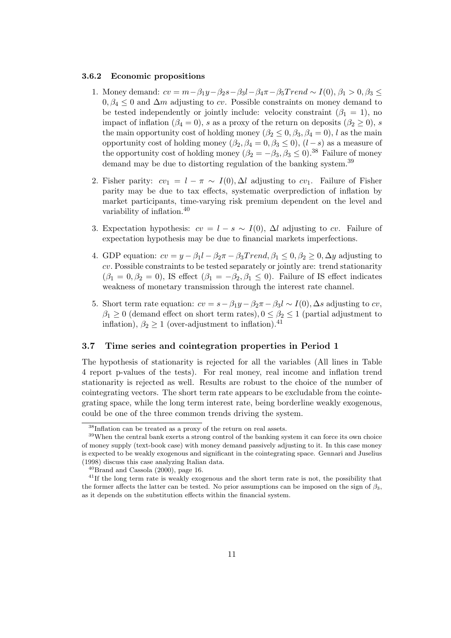#### 3.6.2 Economic propositions

- 1. Money demand:  $cv = m \beta_1 y \beta_2 s \beta_3 l \beta_4 \pi \beta_5 Trend \sim I(0), \beta_1 > 0, \beta_3 \leq$  $0, \beta_4 \leq 0$  and  $\Delta m$  adjusting to cv. Possible constraints on money demand to be tested independently or jointly include: velocity constraint  $(\beta_1 = 1)$ , no impact of inflation ( $\beta_4 = 0$ ), s as a proxy of the return on deposits ( $\beta_2 \ge 0$ ), s the main opportunity cost of holding money  $(\beta_2 \leq 0, \beta_3, \beta_4 = 0)$ , l as the main opportunity cost of holding money  $(\beta_2, \beta_4 = 0, \beta_3 \le 0), (l - s)$  as a measure of the opportunity cost of holding money  $(\beta_2 = -\beta_3, \beta_3 \le 0)$ .<sup>38</sup> Failure of money demand may be due to distorting regulation of the banking system.<sup>39</sup>
- 2. Fisher parity:  $cv_1 = l \pi \sim I(0), \Delta l$  adjusting to  $cv_1$ . Failure of Fisher parity may be due to tax effects, systematic overprediction of inflation by market participants, time-varying risk premium dependent on the level and variability of inflation.<sup>40</sup>
- 3. Expectation hypothesis:  $cv = l s \sim I(0)$ ,  $\Delta l$  adjusting to cv. Failure of expectation hypothesis may be due to financial markets imperfections.
- 4. GDP equation:  $cv = y \beta_1 l \beta_2 \pi \beta_3 Trend, \beta_1 \leq 0, \beta_2 \geq 0, \Delta y$  adjusting to cv. Possible constraints to be tested separately or jointly are: trend stationarity  $(\beta_1 = 0, \beta_2 = 0)$ , IS effect  $(\beta_1 = -\beta_2, \beta_1 \le 0)$ . Failure of IS effect indicates weakness of monetary transmission through the interest rate channel.
- 5. Short term rate equation:  $cv = s \beta_1 y \beta_2 \pi \beta_3 l \sim I(0)$ ,  $\Delta s$  adjusting to cv,  $\beta_1 \geq 0$  (demand effect on short term rates),  $0 \leq \beta_2 \leq 1$  (partial adjustment to inflation),  $\beta_2 \geq 1$  (over-adjustment to inflation).<sup>41</sup>

# 3.7 Time series and cointegration properties in Period 1

The hypothesis of stationarity is rejected for all the variables (All lines in Table 4 report p-values of the tests). For real money, real income and inflation trend stationarity is rejected as well. Results are robust to the choice of the number of cointegrating vectors. The short term rate appears to be excludable from the cointegrating space, while the long term interest rate, being borderline weakly exogenous, could be one of the three common trends driving the system.

 $^{38}\mathrm{Inflation}$  can be treated as a proxy of the return on real assets.

<sup>&</sup>lt;sup>39</sup>When the central bank exerts a strong control of the banking system it can force its own choice of money supply (text-book case) with money demand passively adjusting to it. In this case money is expected to be weakly exogenous and significant in the cointegrating space. Gennari and Juselius (1998) discuss this case analyzing Italian data.

 $^{40}$ Brand and Cassola (2000), page 16.

 $^{41}$ If the long term rate is weakly exogenous and the short term rate is not, the possibility that the former affects the latter can be tested. No prior assumptions can be imposed on the sign of  $\beta_3$ , as it depends on the substitution effects within the financial system.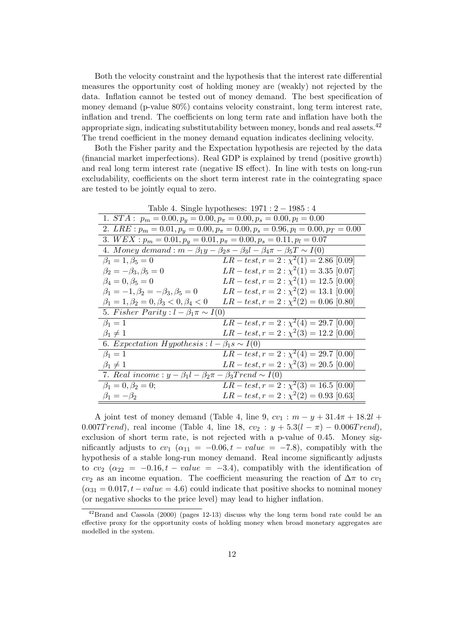Both the velocity constraint and the hypothesis that the interest rate differential measures the opportunity cost of holding money are (weakly) not rejected by the data. Inflation cannot be tested out of money demand. The best specification of money demand (p-value 80%) contains velocity constraint, long term interest rate, inflation and trend. The coefficients on long term rate and inflation have both the appropriate sign, indicating substitutability between money, bonds and real assets.<sup>42</sup> The trend coefficient in the money demand equation indicates declining velocity.

Both the Fisher parity and the Expectation hypothesis are rejected by the data (financial market imperfections). Real GDP is explained by trend (positive growth) and real long term interest rate (negative IS effect). In line with tests on long-run excludability, coefficients on the short term interest rate in the cointegrating space are tested to be jointly equal to zero.

| Lable 4. Diligie hypotheses. $1311.2 - 1300.4$                                                |                                                                                                    |  |  |  |
|-----------------------------------------------------------------------------------------------|----------------------------------------------------------------------------------------------------|--|--|--|
| 1. $STA: p_m = 0.00, p_y = 0.00, p_\pi = 0.00, p_s = 0.00, p_l = 0.00$                        |                                                                                                    |  |  |  |
|                                                                                               | 2. LRE : $p_m = 0.01$ , $p_y = 0.00$ , $p_\pi = 0.00$ , $p_s = 0.96$ , $p_l = 0.00$ , $p_T = 0.00$ |  |  |  |
| 3. $WEX: p_m = 0.01, p_y = 0.01, p_\pi = 0.00, p_s = 0.11, p_l = 0.07$                        |                                                                                                    |  |  |  |
| 4. Money demand : $m - \beta_1 y - \beta_2 s - \beta_3 l - \beta_4 \pi - \beta_5 T \sim I(0)$ |                                                                                                    |  |  |  |
| $\beta_1 = 1, \beta_5 = 0$                                                                    | $LR-test, r = 2 : \chi^2(1) = 2.86$ [0.09]                                                         |  |  |  |
| $\beta_2=-\beta_3, \beta_5=0$                                                                 | $LR-test, r = 2 : \chi^2(1) = 3.35$ [0.07]                                                         |  |  |  |
| $\beta_4 = 0, \beta_5 = 0$                                                                    | $LR-test, r = 2 : \chi^2(1) = 12.5$ [0.00]                                                         |  |  |  |
| $\beta_1 = -1, \beta_2 = -\beta_3, \beta_5 = 0$                                               | $LR-test, r = 2 : \chi^2(2) = 13.1$ [0.00]                                                         |  |  |  |
| $\beta_1 = 1, \beta_2 = 0, \beta_3 < 0, \beta_4 < 0$                                          | $LR-test, r = 2 : \chi^2(2) = 0.06$ [0.80]                                                         |  |  |  |
| 5. Fisher Parity : $l - \beta_1 \pi \sim I(0)$                                                |                                                                                                    |  |  |  |
| $\beta_1=1$                                                                                   | $LR-test, r = 2 : \chi^2(4) = 29.7$ [0.00]                                                         |  |  |  |
| $\beta_1\neq 1$                                                                               | $LR-test, r = 2 : \chi^2(3) = 12.2$ [0.00]                                                         |  |  |  |
| 6. Expectation Hypothesis : $l - \beta_1 s \sim I(0)$                                         |                                                                                                    |  |  |  |
| $\beta_1=1$                                                                                   | $LR-test, r = 2 : \chi^2(4) = 29.7$ [0.00]                                                         |  |  |  |
| $\beta_1\neq 1$                                                                               | $LR-test, r = 2 : \chi^2(3) = 20.5$ [0.00]                                                         |  |  |  |
| 7. Real income : $y - \beta_1 l - \beta_2 \pi - \beta_3 Trend \sim I(0)$                      |                                                                                                    |  |  |  |
| $\beta_1 = 0, \beta_2 = 0;$                                                                   | $LR-test, r = 2 : \chi^2(3) = 16.5$ [0.00]                                                         |  |  |  |
| $\beta_1=-\beta_2$                                                                            | $LR-test, r = 2 : \chi^2(2) = 0.93$ [0.63]                                                         |  |  |  |

Table 4. Single hypotheses: 1971 : 2 − 1985 : 4

A joint test of money demand (Table 4, line 9,  $cv_1 : m - y + 31.4\pi + 18.2l +$ 0.007Trend), real income (Table 4, line 18,  $cv_2 : y + 5.3(l - \pi) - 0.006Trend$ ), exclusion of short term rate, is not rejected with a p-value of 0.45. Money significantly adjusts to  $cv_1$  ( $\alpha_{11} = -0.06, t - value = -7.8$ ), compatibly with the hypothesis of a stable long-run money demand. Real income significantly adjusts to  $cv_2$  ( $\alpha_{22} = -0.16, t - value = -3.4$ ), compatibly with the identification of cv<sub>2</sub> as an income equation. The coefficient measuring the reaction of  $\Delta \pi$  to cv<sub>1</sub>  $(\alpha_{31} = 0.017, t - value = 4.6)$  could indicate that positive shocks to nominal money (or negative shocks to the price level) may lead to higher inflation.

 $^{42}$ Brand and Cassola (2000) (pages 12-13) discuss why the long term bond rate could be an effective proxy for the opportunity costs of holding money when broad monetary aggregates are modelled in the system.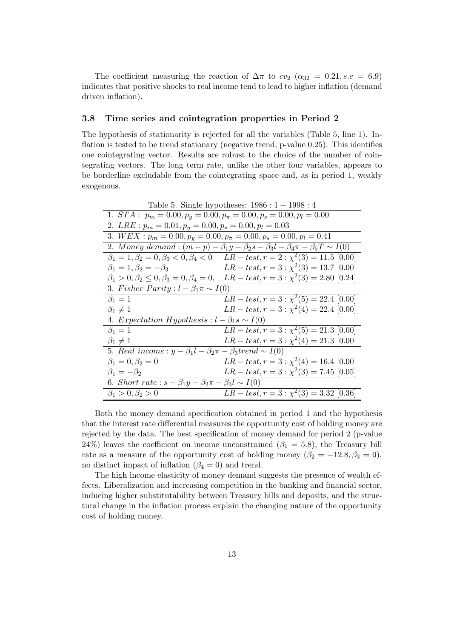The coefficient measuring the reaction of  $\Delta \pi$  to  $cv_2$  ( $\alpha_{32} = 0.21$ , s.e = 6.9) indicates that positive shocks to real income tend to lead to higher inflation (demand driven inflation).

#### 3.8 Time series and cointegration properties in Period 2

The hypothesis of stationarity is rejected for all the variables (Table 5, line 1). Inflation is tested to be trend stationary (negative trend, p-value 0.25). This identifies one cointegrating vector. Results are robust to the choice of the number of cointegrating vectors. The long term rate, unlike the other four variables, appears to be borderline excludable from the cointegrating space and, as in period 1, weakly exogenous.

| Table 5. Single hypotheses: $1986 : 1 - 1998 : 4$                           |                                                                                                            |  |  |  |
|-----------------------------------------------------------------------------|------------------------------------------------------------------------------------------------------------|--|--|--|
| 1. $STA: p_m = 0.00, p_y = 0.00, p_\pi = 0.00, p_s = 0.00, p_l = 0.00$      |                                                                                                            |  |  |  |
| 2. $LRE: p_m = 0.01, p_y = 0.00, p_s = 0.00, p_l = 0.03$                    |                                                                                                            |  |  |  |
|                                                                             | 3. $WEX : p_m = 0.00, p_y = 0.00, p_\pi = 0.00, p_s = 0.00, p_l = 0.41$                                    |  |  |  |
|                                                                             | 2. Money demand: $(m-p) - \beta_1 y - \beta_2 s - \beta_3 l - \beta_4 \pi - \beta_5 T \sim I(0)$           |  |  |  |
|                                                                             | $\beta_1 = 1, \beta_2 = 0, \beta_3 < 0, \beta_4 < 0$ $LR - test, r = 2 : \chi^2(3) = 11.5$ [0.00]          |  |  |  |
| $\beta_1=1, \beta_2=-\beta_3$                                               | $LR-test, r = 3 : \chi^2(3) = 13.7$ [0.00]                                                                 |  |  |  |
|                                                                             | $\beta_1 > 0, \beta_2 \leq 0, \beta_3 = 0, \beta_4 = 0, \quad LR-test, r = 3 : \chi^2(3) = 2.80 \; [0.24]$ |  |  |  |
| 3. Fisher Parity : $l - \beta_1 \pi \sim I(0)$                              |                                                                                                            |  |  |  |
| $\beta_1=1$                                                                 | $LR-test, r = 3 : \chi^2(5) = 22.4$ [0.00]                                                                 |  |  |  |
| $\beta_1\neq 1$                                                             | $LR-test, r = 3: \chi^2(4) = 22.4$ [0.00]                                                                  |  |  |  |
| 4. Expectation Hypothesis : $l - \beta_1 s \sim I(0)$                       |                                                                                                            |  |  |  |
| $\beta_1=1$                                                                 | $LR-test, r = 3: \chi^2(5) = 21.3$ [0.00]                                                                  |  |  |  |
| $\beta_1\neq 1$                                                             | $LR-test, r = 3 : \chi^2(4) = 21.3$ [0.00]                                                                 |  |  |  |
| 5. Real income : $y - \beta_1 l - \beta_2 \pi - \beta_3 t$ rend $\sim I(0)$ |                                                                                                            |  |  |  |
| $\beta_1 = 0, \beta_2 = 0$                                                  | $LR-test, r = 3 : \chi^2(4) = 16.4$ [0.00]                                                                 |  |  |  |
| $\beta_1=-\beta_2$                                                          | $LR-test, r = 3: \chi^2(3) = 7.45$ [0.05]                                                                  |  |  |  |
| 6. Short rate : $s - \beta_1 y - \beta_2 \pi - \beta_3 l \sim I(0)$         |                                                                                                            |  |  |  |
| $\beta_1 > 0, \beta_2 > 0$                                                  | $LR-test, r = 3: \chi^2(3) = 3.32$ [0.36]                                                                  |  |  |  |

Both the money demand specification obtained in period 1 and the hypothesis that the interest rate differential measures the opportunity cost of holding money are rejected by the data. The best specification of money demand for period 2 (p-value 24%) leaves the coefficient on income unconstrained ( $\beta_1 = 5.8$ ), the Treasury bill rate as a measure of the opportunity cost of holding money ( $\beta_2 = -12.8, \beta_3 = 0$ ), no distinct impact of inflation  $(\beta_4 = 0)$  and trend.

The high income elasticity of money demand suggests the presence of wealth effects. Liberalization and increasing competition in the banking and financial sector, inducing higher substitutability between Treasury bills and deposits, and the structural change in the inflation process explain the changing nature of the opportunity cost of holding money.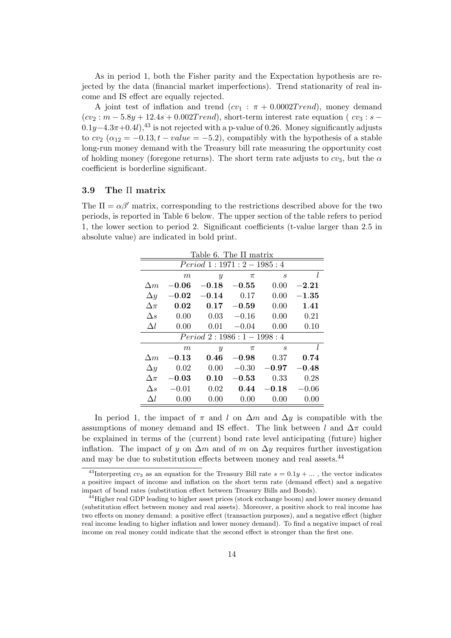As in period 1, both the Fisher parity and the Expectation hypothesis are rejected by the data (financial market imperfections). Trend stationarity of real income and IS effect are equally rejected.

A joint test of inflation and trend  $(cv_1 : \pi + 0.0002Trend)$ , money demand  $(cv_2 : m - 5.8y + 12.4s + 0.002Trend)$ , short-term interest rate equation (  $cv_3 : s 0.1y-4.3\pi+0.4l$ ,<sup>43</sup> is not rejected with a p-value of 0.26. Money significantly adjusts to  $cv_2$  ( $\alpha_{12} = -0.13$ ,  $t - value = -5.2$ ), compatibly with the hypothesis of a stable long-run money demand with the Treasury bill rate measuring the opportunity cost of holding money (foregone returns). The short term rate adjusts to  $cv_3$ , but the  $\alpha$ coefficient is borderline significant.

## 3.9 The Π matrix

The  $\Pi = \alpha \beta'$  matrix, corresponding to the restrictions described above for the two periods, is reported in Table 6 below. The upper section of the table refers to period 1, the lower section to period 2. Significant coefficients (t-value larger than 2.5 in absolute value) are indicated in bold print.

| Table 6. The $\Pi$ matrix |                              |                  |           |                  |             |  |  |
|---------------------------|------------------------------|------------------|-----------|------------------|-------------|--|--|
| $Period\ 1:1971:2-1985:4$ |                              |                  |           |                  |             |  |  |
|                           | $\boldsymbol{m}$             | $\overline{y}$   | $\pi$     | $\boldsymbol{s}$ | l           |  |  |
| $\Delta m$                | $-0.06$                      | $-0.18$          | $-0.55$   | 0.00             | $\bf -2.21$ |  |  |
| $\Delta y$                | $\bf -0.02$                  | $-0.14$          | 0.17      | 0.00             | $-1.35\,$   |  |  |
| $\Delta \pi$              | 0.02                         | 0.17             | $-0.59$   | 0.00             | 1.41        |  |  |
| $\Delta s$                | 0.00                         | 0.03             | $-0.16$   | 0.00             | 0.21        |  |  |
| $\Delta l$                | 0.00                         | 0.01             | $-0.04$   | 0.00             | 0.10        |  |  |
|                           | $Period\ 2: 1986: 1-1998: 4$ |                  |           |                  |             |  |  |
|                           | m                            | $\boldsymbol{y}$ | $\pi$     | $\boldsymbol{s}$ | l           |  |  |
| $\Delta m$                | $\bf -0.13$                  | 0.46             | $-0.98$   | 0.37             | 0.74        |  |  |
| $\Delta y$                | 0.02                         | 0.00             | $-0.30$   | $-0.97$          | $-0.48\,$   |  |  |
| $\Delta \pi$              | $-0.03$                      | 0.10             | $-0.53\,$ | 0.33             | 0.28        |  |  |
| $\Delta s$                | $-0.01$                      | 0.02             | 0.44      | $-0.18$          | $-0.06$     |  |  |
| Δl                        | 0.00                         | 0.00             | 0.00      | 0.00             | 0.00        |  |  |

In period 1, the impact of  $\pi$  and l on  $\Delta m$  and  $\Delta y$  is compatible with the assumptions of money demand and IS effect. The link between l and  $\Delta \pi$  could be explained in terms of the (current) bond rate level anticipating (future) higher inflation. The impact of y on  $\Delta m$  and of m on  $\Delta y$  requires further investigation and may be due to substitution effects between money and real assets.<sup>44</sup>

<sup>&</sup>lt;sup>43</sup>Interpreting  $cv_3$  as an equation for the Treasury Bill rate  $s = 0.1y + ...$ , the vector indicates a positive impact of income and inflation on the short term rate (demand effect) and a negative impact of bond rates (substitution effect between Treasury Bills and Bonds).

<sup>&</sup>lt;sup>44</sup>Higher real GDP leading to higher asset prices (stock exchange boom) and lower money demand (substitution effect between money and real assets). Moreover, a positive shock to real income has two effects on money demand: a positive effect (transaction purposes), and a negative effect (higher real income leading to higher inflation and lower money demand). To find a negative impact of real income on real money could indicate that the second effect is stronger than the first one.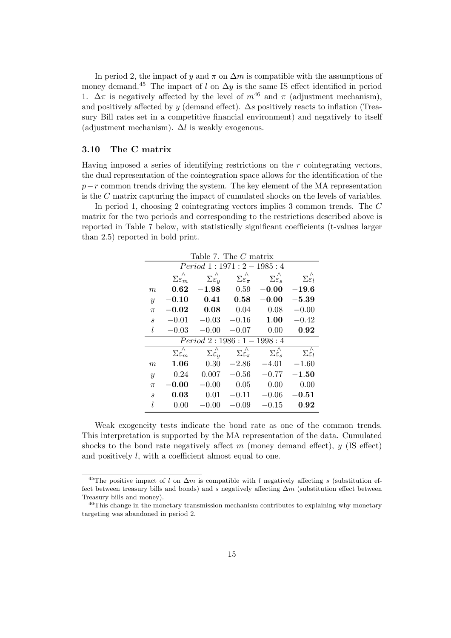In period 2, the impact of y and  $\pi$  on  $\Delta m$  is compatible with the assumptions of money demand.<sup>45</sup> The impact of l on  $\Delta y$  is the same IS effect identified in period 1.  $\Delta \pi$  is negatively affected by the level of  $m^{46}$  and  $\pi$  (adjustment mechanism), and positively affected by y (demand effect).  $\Delta s$  positively reacts to inflation (Treasury Bill rates set in a competitive financial environment) and negatively to itself (adjustment mechanism).  $\Delta l$  is weakly exogenous.

#### 3.10 The C matrix

Having imposed a series of identifying restrictions on the r cointegrating vectors, the dual representation of the cointegration space allows for the identification of the  $p-r$  common trends driving the system. The key element of the MA representation is the C matrix capturing the impact of cumulated shocks on the levels of variables.

In period 1, choosing 2 cointegrating vectors implies 3 common trends. The C matrix for the two periods and corresponding to the restrictions described above is reported in Table 7 below, with statistically significant coefficients (t-values larger than 2.5) reported in bold print.

| Table 7. The $C$ matrix |                                            |                                                |                                              |                              |                              |  |  |
|-------------------------|--------------------------------------------|------------------------------------------------|----------------------------------------------|------------------------------|------------------------------|--|--|
|                         | $Period\ 1:1971:2-1985:4$                  |                                                |                                              |                              |                              |  |  |
|                         | $\Sigma\varepsilon_{m}^{\prime\prime}$     | $\Sigma\overset{\wedge}{\varepsilon_{\bm{u}}}$ | $\Sigma \hat{\varepsilon}_{\pi}$             | $\Sigma \hat{\varepsilon_s}$ | $\Sigma \hat{\varepsilon}_l$ |  |  |
| $\boldsymbol{m}$        | 0.62                                       | $-1.98$                                        | 0.59                                         | $-0.00$                      | $-19.6$                      |  |  |
| $\boldsymbol{y}$        | $-0.10$                                    | 0.41                                           | 0.58                                         | $-0.00$                      | $-5.39$                      |  |  |
| $\pi$                   |                                            | $-0.02 0.08$                                   | 0.04                                         | 0.08                         | $-0.00$                      |  |  |
| $\boldsymbol{s}$        | $-0.01$                                    | $-0.03$                                        | $-0.16$                                      | 1.00                         | $-0.42$                      |  |  |
| l                       | $-0.03$                                    | $-0.00$                                        | $-0.07$                                      | 0.00                         | 0.92                         |  |  |
|                         | $Period\ 2: 1986: 1-1998: 4$               |                                                |                                              |                              |                              |  |  |
|                         | $\overline{\Sigma \varepsilon_m}^{\wedge}$ | $\Sigma \hat{\varepsilon}_y$                   | $\Sigma \overset{\wedge}{\varepsilon_{\pi}}$ | $\Sigma \hat{\varepsilon}_s$ | $\Sigma \hat{\varepsilon}_l$ |  |  |
| m                       | 1.06                                       | 0.30                                           | $-2.86$                                      | $-4.01$                      | $-1.60$                      |  |  |
| $\boldsymbol{y}$        | 0.24                                       | 0.007                                          | $-0.56$                                      | $-0.77$                      | $-1.50$                      |  |  |
| $\pi$                   | $-0.00$                                    | $-0.00$                                        | 0.05                                         | 0.00                         | 0.00                         |  |  |
| $\boldsymbol{s}$        | 0.03                                       | 0.01                                           | $-0.11$                                      | $-0.06$                      | $\bf -0.51$                  |  |  |
| l                       | 0.00                                       | $-0.00$                                        | $-0.09$                                      | $-0.15$                      | 0.92                         |  |  |

Weak exogeneity tests indicate the bond rate as one of the common trends. This interpretation is supported by the MA representation of the data. Cumulated shocks to the bond rate negatively affect m (money demand effect),  $y$  (IS effect) and positively l, with a coefficient almost equal to one.

<sup>&</sup>lt;sup>45</sup>The positive impact of l on  $\Delta m$  is compatible with l negatively affecting s (substitution effect between treasury bills and bonds) and s negatively affecting  $\Delta m$  (substitution effect between Treasury bills and money).

<sup>&</sup>lt;sup>46</sup>This change in the monetary transmission mechanism contributes to explaining why monetary targeting was abandoned in period 2.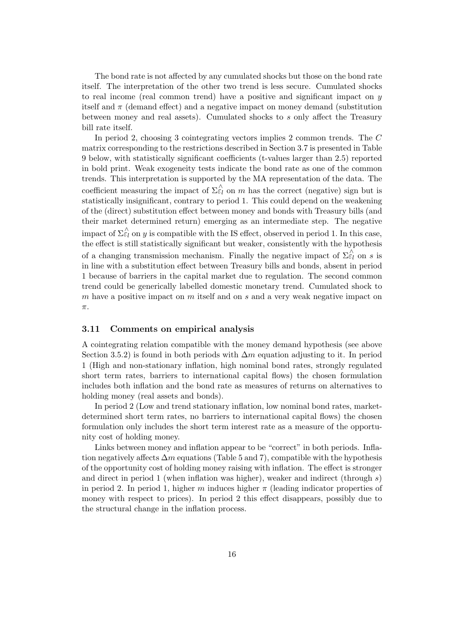The bond rate is not affected by any cumulated shocks but those on the bond rate itself. The interpretation of the other two trend is less secure. Cumulated shocks to real income (real common trend) have a positive and significant impact on y itself and  $\pi$  (demand effect) and a negative impact on money demand (substitution between money and real assets). Cumulated shocks to s only affect the Treasury bill rate itself.

In period 2, choosing 3 cointegrating vectors implies 2 common trends. The C matrix corresponding to the restrictions described in Section 3.7 is presented in Table 9 below, with statistically significant coefficients (t-values larger than 2.5) reported in bold print. Weak exogeneity tests indicate the bond rate as one of the common trends. This interpretation is supported by the MA representation of the data. The coefficient measuring the impact of  $\Sigma \hat{\varepsilon}_l$  on m has the correct (negative) sign but is statistically insignificant, contrary to period 1. This could depend on the weakening of the (direct) substitution effect between money and bonds with Treasury bills (and their market determined return) emerging as an intermediate step. The negative impact of  $\Sigma \hat{\varepsilon}_l$  on y is compatible with the IS effect, observed in period 1. In this case, the effect is still statistically significant but weaker, consistently with the hypothesis of a changing transmission mechanism. Finally the negative impact of  $\Sigma_{\varepsilon_l}^{\wedge}$  on s is in line with a substitution effect between Treasury bills and bonds, absent in period 1 because of barriers in the capital market due to regulation. The second common trend could be generically labelled domestic monetary trend. Cumulated shock to m have a positive impact on  $m$  itself and on  $s$  and a very weak negative impact on  $\pi.$ 

#### 3.11 Comments on empirical analysis

A cointegrating relation compatible with the money demand hypothesis (see above Section 3.5.2) is found in both periods with  $\Delta m$  equation adjusting to it. In period 1 (High and non-stationary inflation, high nominal bond rates, strongly regulated short term rates, barriers to international capital flows) the chosen formulation includes both inflation and the bond rate as measures of returns on alternatives to holding money (real assets and bonds).

In period 2 (Low and trend stationary inflation, low nominal bond rates, marketdetermined short term rates, no barriers to international capital flows) the chosen formulation only includes the short term interest rate as a measure of the opportunity cost of holding money.

Links between money and inflation appear to be "correct" in both periods. Inflation negatively affects  $\Delta m$  equations (Table 5 and 7), compatible with the hypothesis of the opportunity cost of holding money raising with inflation. The effect is stronger and direct in period 1 (when inflation was higher), weaker and indirect (through s) in period 2. In period 1, higher m induces higher  $\pi$  (leading indicator properties of money with respect to prices). In period 2 this effect disappears, possibly due to the structural change in the inflation process.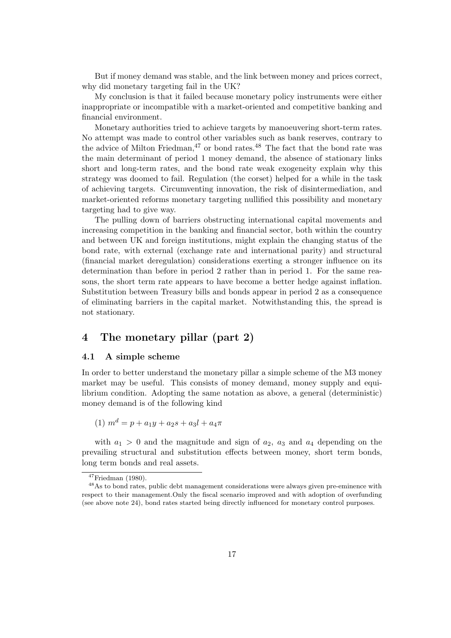But if money demand was stable, and the link between money and prices correct, why did monetary targeting fail in the UK?

My conclusion is that it failed because monetary policy instruments were either inappropriate or incompatible with a market-oriented and competitive banking and financial environment.

Monetary authorities tried to achieve targets by manoeuvering short-term rates. No attempt was made to control other variables such as bank reserves, contrary to the advice of Milton Friedman,  $47$  or bond rates.  $48$  The fact that the bond rate was the main determinant of period 1 money demand, the absence of stationary links short and long-term rates, and the bond rate weak exogeneity explain why this strategy was doomed to fail. Regulation (the corset) helped for a while in the task of achieving targets. Circumventing innovation, the risk of disintermediation, and market-oriented reforms monetary targeting nullified this possibility and monetary targeting had to give way.

The pulling down of barriers obstructing international capital movements and increasing competition in the banking and financial sector, both within the country and between UK and foreign institutions, might explain the changing status of the bond rate, with external (exchange rate and international parity) and structural (financial market deregulation) considerations exerting a stronger influence on its determination than before in period 2 rather than in period 1. For the same reasons, the short term rate appears to have become a better hedge against inflation. Substitution between Treasury bills and bonds appear in period 2 as a consequence of eliminating barriers in the capital market. Notwithstanding this, the spread is not stationary.

# 4 The monetary pillar (part 2)

## 4.1 A simple scheme

In order to better understand the monetary pillar a simple scheme of the M3 money market may be useful. This consists of money demand, money supply and equilibrium condition. Adopting the same notation as above, a general (deterministic) money demand is of the following kind

$$
(1) \ m^d = p + a_1y + a_2s + a_3l + a_4\pi
$$

with  $a_1 > 0$  and the magnitude and sign of  $a_2$ ,  $a_3$  and  $a_4$  depending on the prevailing structural and substitution effects between money, short term bonds, long term bonds and real assets.

 $47$ Friedman (1980).

<sup>48</sup>As to bond rates, public debt management considerations were always given pre-eminence with respect to their management.Only the fiscal scenario improved and with adoption of overfunding (see above note 24), bond rates started being directly influenced for monetary control purposes.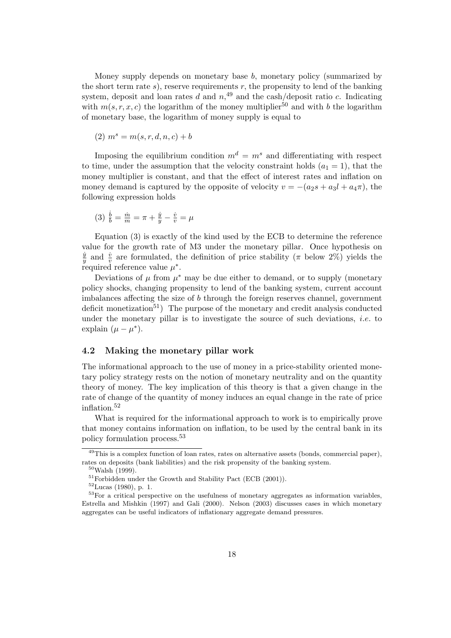Money supply depends on monetary base b, monetary policy (summarized by the short term rate  $s$ ), reserve requirements  $r$ , the propensity to lend of the banking system, deposit and loan rates d and  $n<sub>1</sub><sup>49</sup>$  and the cash/deposit ratio c. Indicating with  $m(s, r, x, c)$  the logarithm of the money multiplier<sup>50</sup> and with b the logarithm of monetary base, the logarithm of money supply is equal to

$$
(2) \; m^s = m(s, r, d, n, c) + b
$$

Imposing the equilibrium condition  $m^d = m^s$  and differentiating with respect to time, under the assumption that the velocity constraint holds  $(a_1 = 1)$ , that the money multiplier is constant, and that the effect of interest rates and inflation on money demand is captured by the opposite of velocity  $v = -(a_2s + a_3l + a_4\pi)$ , the following expression holds

(3) 
$$
\frac{b}{b} = \frac{\dot{m}}{m} = \pi + \frac{\dot{y}}{y} - \frac{\dot{v}}{v} = \mu
$$

Equation (3) is exactly of the kind used by the ECB to determine the reference value for the growth rate of M3 under the monetary pillar. Once hypothesis on  $\dot{y}$  $\frac{\dot{y}}{y}$  and  $\frac{\dot{v}}{v}$  are formulated, the definition of price stability ( $\pi$  below 2%) yields the required reference value  $\mu^*$ .

Deviations of  $\mu$  from  $\mu^*$  may be due either to demand, or to supply (monetary policy shocks, changing propensity to lend of the banking system, current account imbalances affecting the size of b through the foreign reserves channel, government deficit monetization<sup>51</sup>) The purpose of the monetary and credit analysis conducted under the monetary pillar is to investigate the source of such deviations, i.e. to explain  $(\mu - \mu^*)$ .

#### 4.2 Making the monetary pillar work

The informational approach to the use of money in a price-stability oriented monetary policy strategy rests on the notion of monetary neutrality and on the quantity theory of money. The key implication of this theory is that a given change in the rate of change of the quantity of money induces an equal change in the rate of price inflation.<sup>52</sup>

What is required for the informational approach to work is to empirically prove that money contains information on inflation, to be used by the central bank in its policy formulation process.<sup>53</sup>

<sup>49</sup>This is a complex function of loan rates, rates on alternative assets (bonds, commercial paper), rates on deposits (bank liabilities) and the risk propensity of the banking system.

 $50$ Walsh (1999).

 $51$ Forbidden under the Growth and Stability Pact (ECB (2001)).

 $52$ Lucas (1980), p. 1.

<sup>&</sup>lt;sup>53</sup>For a critical perspective on the usefulness of monetary aggregates as information variables, Estrella and Mishkin (1997) and Gali (2000). Nelson (2003) discusses cases in which monetary aggregates can be useful indicators of inflationary aggregate demand pressures.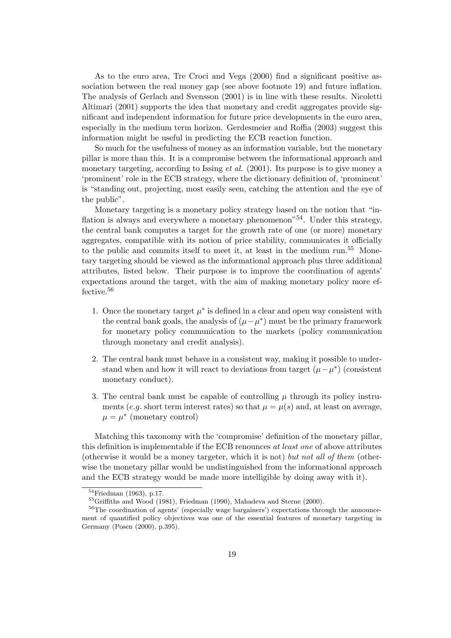As to the euro area, Tre Croci and Vega (2000) find a significant positive association between the real money gap (see above footnote 19) and future inflation. The analysis of Gerlach and Svensson (2001) is in line with these results. Nicoletti Altimari (2001) supports the idea that monetary and credit aggregates provide significant and independent information for future price developments in the euro area, especially in the medium term horizon. Gerdesmeier and Roffia (2003) suggest this information might be useful in predicting the ECB reaction function.

So much for the usefulness of money as an information variable, but the monetary pillar is more than this. It is a compromise between the informational approach and monetary targeting, according to Issing *et al.* (2001). Its purpose is to give money a 'prominent' role in the ECB strategy, where the dictionary definition of, 'prominent' is "standing out, projecting, most easily seen, catching the attention and the eye of the public".

Monetary targeting is a monetary policy strategy based on the notion that "inflation is always and everywhere a monetary phenomenon<sup> $54$ </sup>. Under this strategy, the central bank computes a target for the growth rate of one (or more) monetary aggregates, compatible with its notion of price stability, communicates it officially to the public and commits itself to meet it, at least in the medium run.<sup>55</sup> Monetary targeting should be viewed as the informational approach plus three additional attributes, listed below. Their purpose is to improve the coordination of agents' expectations around the target, with the aim of making monetary policy more effective.<sup>56</sup>

- 1. Once the monetary target  $\mu^*$  is defined in a clear and open way consistent with the central bank goals, the analysis of  $(\mu - \mu^*)$  must be the primary framework for monetary policy communication to the markets (policy communication through monetary and credit analysis).
- 2. The central bank must behave in a consistent way, making it possible to understand when and how it will react to deviations from target  $(\mu - \mu^*)$  (consistent monetary conduct).
- 3. The central bank must be capable of controlling  $\mu$  through its policy instruments (e.g. short term interest rates) so that  $\mu = \mu(s)$  and, at least on average,  $\mu = \mu^*$  (monetary control)

Matching this taxonomy with the 'compromise' definition of the monetary pillar, this definition is implementable if the ECB renounces at least one of above attributes (otherwise it would be a money targeter, which it is not) but not all of them (otherwise the monetary pillar would be undistinguished from the informational approach and the ECB strategy would be made more intelligible by doing away with it).

 $\sqrt[54]{\text{Friedman}}$  (1963), p.17.

 $^{55}$ Griffiths and Wood (1981), Friedman (1990), Mahadeva and Sterne (2000).

<sup>&</sup>lt;sup>56</sup>The coordination of agents' (especially wage bargainers') expectations through the announcement of quantified policy objectives was one of the essential features of monetary targeting in Germany (Posen (2000), p.395).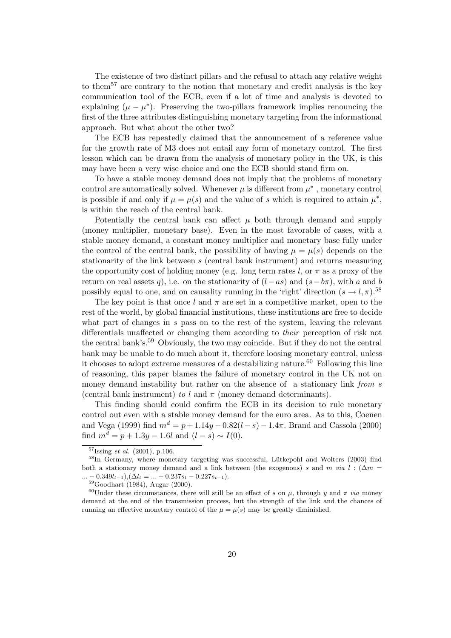The existence of two distinct pillars and the refusal to attach any relative weight to them<sup>57</sup> are contrary to the notion that monetary and credit analysis is the key communication tool of the ECB, even if a lot of time and analysis is devoted to explaining  $(\mu - \mu^*)$ . Preserving the two-pillars framework implies renouncing the first of the three attributes distinguishing monetary targeting from the informational approach. But what about the other two?

The ECB has repeatedly claimed that the announcement of a reference value for the growth rate of M3 does not entail any form of monetary control. The first lesson which can be drawn from the analysis of monetary policy in the UK, is this may have been a very wise choice and one the ECB should stand firm on.

To have a stable money demand does not imply that the problems of monetary control are automatically solved. Whenever  $\mu$  is different from  $\mu^*$ , monetary control is possible if and only if  $\mu = \mu(s)$  and the value of s which is required to attain  $\mu^*$ , is within the reach of the central bank.

Potentially the central bank can affect  $\mu$  both through demand and supply (money multiplier, monetary base). Even in the most favorable of cases, with a stable money demand, a constant money multiplier and monetary base fully under the control of the central bank, the possibility of having  $\mu = \mu(s)$  depends on the stationarity of the link between s (central bank instrument) and returns measuring the opportunity cost of holding money (e.g. long term rates l, or  $\pi$  as a proxy of the return on real assets q), i.e. on the stationarity of  $(l-as)$  and  $(s-b\pi)$ , with a and b possibly equal to one, and on causality running in the 'right' direction ( $s \to l, \pi$ ).<sup>58</sup>

The key point is that once l and  $\pi$  are set in a competitive market, open to the rest of the world, by global financial institutions, these institutions are free to decide what part of changes in s pass on to the rest of the system, leaving the relevant differentials unaffected or changing them according to their perception of risk not the central bank's.<sup>59</sup> Obviously, the two may coincide. But if they do not the central bank may be unable to do much about it, therefore loosing monetary control, unless it chooses to adopt extreme measures of a destabilizing nature.<sup>60</sup> Following this line of reasoning, this paper blames the failure of monetary control in the UK not on money demand instability but rather on the absence of a stationary link from s (central bank instrument) to l and  $\pi$  (money demand determinants).

This finding should could confirm the ECB in its decision to rule monetary control out even with a stable money demand for the euro area. As to this, Coenen and Vega (1999) find  $m^d = p + 1.14y - 0.82(l - s) - 1.4\pi$ . Brand and Cassola (2000) find  $m^d = p + 1.3y - 1.6l$  and  $(l - s) \sim I(0)$ .

 $\sqrt[57]{\text{Issing}}}$  et al. (2001), p.106.

 $58$ In Germany, where monetary targeting was successful, Lütkepohl and Wolters (2003) find both a stationary money demand and a link between (the exogenous) s and m via l :  $(\Delta m =$  $\ldots - 0.349l_{t-1}$ ,  $(\Delta l_t = \ldots + 0.237s_t - 0.227s_{t-1}).$ 

<sup>59</sup>Goodhart (1984), Augar (2000).

<sup>&</sup>lt;sup>60</sup>Under these circumstances, there will still be an effect of s on  $\mu$ , through y and  $\pi$  via money demand at the end of the transmission process, but the strength of the link and the chances of running an effective monetary control of the  $\mu = \mu(s)$  may be greatly diminished.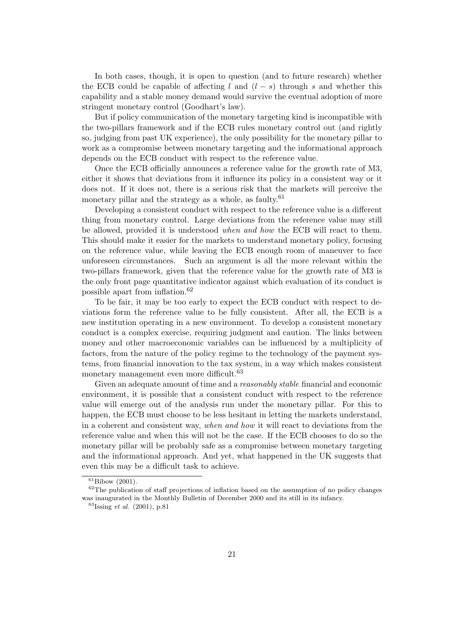In both cases, though, it is open to question (and to future research) whether the ECB could be capable of affecting l and  $(l - s)$  through s and whether this capability and a stable money demand would survive the eventual adoption of more stringent monetary control (Goodhart's law).

But if policy communication of the monetary targeting kind is incompatible with the two-pillars framework and if the ECB rules monetary control out (and rightly so, judging from past UK experience), the only possibility for the monetary pillar to work as a compromise between monetary targeting and the informational approach depends on the ECB conduct with respect to the reference value.

Once the ECB officially announces a reference value for the growth rate of M3, either it shows that deviations from it influence its policy in a consistent way or it does not. If it does not, there is a serious risk that the markets will perceive the monetary pillar and the strategy as a whole, as faulty. $61$ 

Developing a consistent conduct with respect to the reference value is a different thing from monetary control. Large deviations from the reference value may still be allowed, provided it is understood when and how the ECB will react to them. This should make it easier for the markets to understand monetary policy, focusing on the reference value, while leaving the ECB enough room of maneuver to face unforeseen circumstances. Such an argument is all the more relevant within the two-pillars framework, given that the reference value for the growth rate of M3 is the only front page quantitative indicator against which evaluation of its conduct is possible apart from inflation.<sup>62</sup>

To be fair, it may be too early to expect the ECB conduct with respect to deviations form the reference value to be fully consistent. After all, the ECB is a new institution operating in a new environment. To develop a consistent monetary conduct is a complex exercise, requiring judgment and caution. The links between money and other macroeconomic variables can be influenced by a multiplicity of factors, from the nature of the policy regime to the technology of the payment systems, from financial innovation to the tax system, in a way which makes consistent monetary management even more difficult.<sup>63</sup>

Given an adequate amount of time and a *reasonably stable* financial and economic environment, it is possible that a consistent conduct with respect to the reference value will emerge out of the analysis run under the monetary pillar. For this to happen, the ECB must choose to be less hesitant in letting the markets understand, in a coherent and consistent way, when and how it will react to deviations from the reference value and when this will not be the case. If the ECB chooses to do so the monetary pillar will be probably safe as a compromise between monetary targeting and the informational approach. And yet, what happened in the UK suggests that even this may be a difficult task to achieve.

 ${}^{61}$ Bibow (2001).

 $62$ The publication of staff projections of inflation based on the assumption of no policy changes was inaugurated in the Monthly Bulletin of December 2000 and its still in its infancy.

 $^{63}$ Issing *et al.* (2001), p.81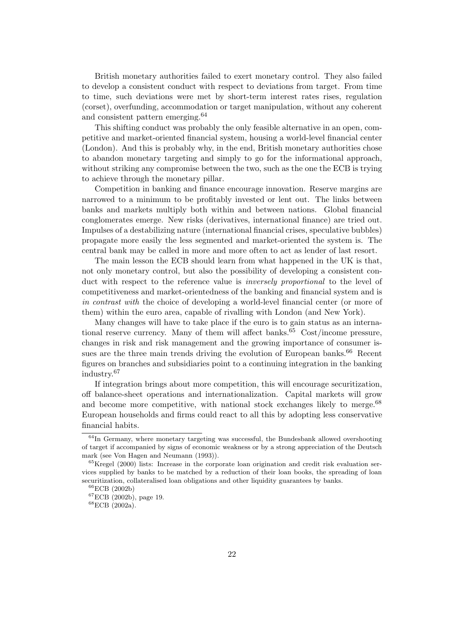British monetary authorities failed to exert monetary control. They also failed to develop a consistent conduct with respect to deviations from target. From time to time, such deviations were met by short-term interest rates rises, regulation (corset), overfunding, accommodation or target manipulation, without any coherent and consistent pattern emerging.<sup>64</sup>

This shifting conduct was probably the only feasible alternative in an open, competitive and market-oriented financial system, housing a world-level financial center (London). And this is probably why, in the end, British monetary authorities chose to abandon monetary targeting and simply to go for the informational approach, without striking any compromise between the two, such as the one the ECB is trying to achieve through the monetary pillar.

Competition in banking and finance encourage innovation. Reserve margins are narrowed to a minimum to be profitably invested or lent out. The links between banks and markets multiply both within and between nations. Global financial conglomerates emerge. New risks (derivatives, international finance) are tried out. Impulses of a destabilizing nature (international financial crises, speculative bubbles) propagate more easily the less segmented and market-oriented the system is. The central bank may be called in more and more often to act as lender of last resort.

The main lesson the ECB should learn from what happened in the UK is that, not only monetary control, but also the possibility of developing a consistent conduct with respect to the reference value is *inversely proportional* to the level of competitiveness and market-orientedness of the banking and financial system and is in contrast with the choice of developing a world-level financial center (or more of them) within the euro area, capable of rivalling with London (and New York).

Many changes will have to take place if the euro is to gain status as an international reserve currency. Many of them will affect banks. $65$  Cost/income pressure, changes in risk and risk management and the growing importance of consumer issues are the three main trends driving the evolution of European banks.<sup>66</sup> Recent figures on branches and subsidiaries point to a continuing integration in the banking industry.<sup>67</sup>

If integration brings about more competition, this will encourage securitization, off balance-sheet operations and internationalization. Capital markets will grow and become more competitive, with national stock exchanges likely to merge.<sup>68</sup> European households and firms could react to all this by adopting less conservative financial habits.

 $^{64}\mathrm{In}$  Germany, where monetary targeting was successful, the Bundesbank allowed overshooting of target if accompanied by signs of economic weakness or by a strong appreciation of the Deutsch mark (see Von Hagen and Neumann (1993)).

 ${}^{65}$ Kregel (2000) lists: Increase in the corporate loan origination and credit risk evaluation services supplied by banks to be matched by a reduction of their loan books, the spreading of loan securitization, collateralised loan obligations and other liquidity guarantees by banks.

<sup>66</sup>ECB (2002b)

<sup>67</sup>ECB (2002b), page 19.

<sup>68</sup>ECB (2002a).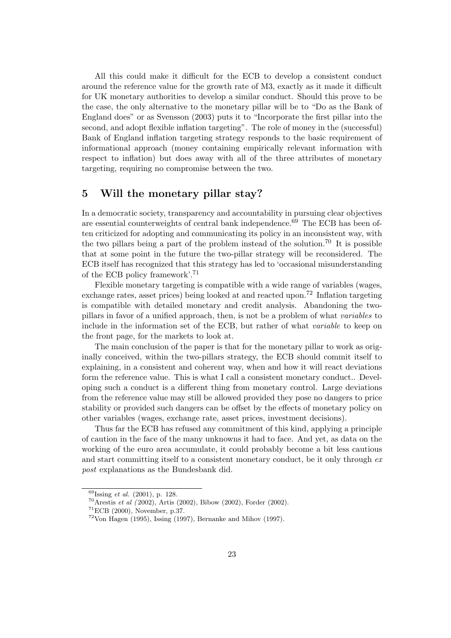All this could make it difficult for the ECB to develop a consistent conduct around the reference value for the growth rate of M3, exactly as it made it difficult for UK monetary authorities to develop a similar conduct. Should this prove to be the case, the only alternative to the monetary pillar will be to "Do as the Bank of England does" or as Svensson (2003) puts it to "Incorporate the first pillar into the second, and adopt flexible inflation targeting". The role of money in the (successful) Bank of England inflation targeting strategy responds to the basic requirement of informational approach (money containing empirically relevant information with respect to inflation) but does away with all of the three attributes of monetary targeting, requiring no compromise between the two.

# 5 Will the monetary pillar stay?

In a democratic society, transparency and accountability in pursuing clear objectives are essential counterweights of central bank independence. $69$  The ECB has been often criticized for adopting and communicating its policy in an inconsistent way, with the two pillars being a part of the problem instead of the solution.<sup>70</sup> It is possible that at some point in the future the two-pillar strategy will be reconsidered. The ECB itself has recognized that this strategy has led to 'occasional misunderstanding of the ECB policy framework'.<sup>71</sup>

Flexible monetary targeting is compatible with a wide range of variables (wages, exchange rates, asset prices) being looked at and reacted upon.<sup>72</sup> Inflation targeting is compatible with detailed monetary and credit analysis. Abandoning the twopillars in favor of a unified approach, then, is not be a problem of what variables to include in the information set of the ECB, but rather of what variable to keep on the front page, for the markets to look at.

The main conclusion of the paper is that for the monetary pillar to work as originally conceived, within the two-pillars strategy, the ECB should commit itself to explaining, in a consistent and coherent way, when and how it will react deviations form the reference value. This is what I call a consistent monetary conduct.. Developing such a conduct is a different thing from monetary control. Large deviations from the reference value may still be allowed provided they pose no dangers to price stability or provided such dangers can be offset by the effects of monetary policy on other variables (wages, exchange rate, asset prices, investment decisions).

Thus far the ECB has refused any commitment of this kind, applying a principle of caution in the face of the many unknowns it had to face. And yet, as data on the working of the euro area accumulate, it could probably become a bit less cautious and start committing itself to a consistent monetary conduct, be it only through ex post explanations as the Bundesbank did.

 $69$ Issing *et al.* (2001), p. 128.

 $70A$ restis *et al (* 2002), Artis (2002), Bibow (2002), Forder (2002).

<sup>71</sup>ECB (2000), November, p.37.

 $72$ Von Hagen (1995), Issing (1997), Bernanke and Mihov (1997).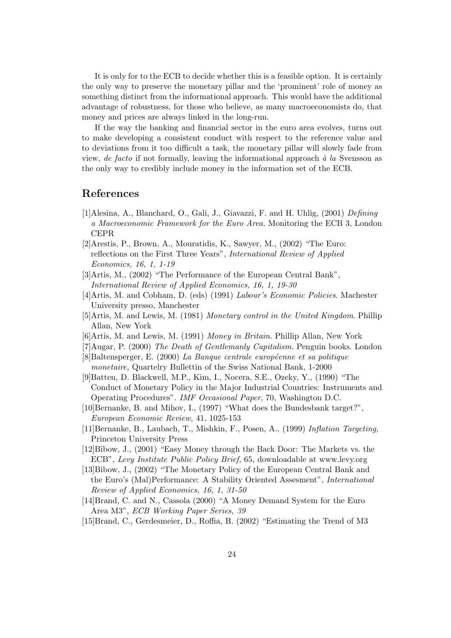It is only for to the ECB to decide whether this is a feasible option. It is certainly the only way to preserve the monetary pillar and the 'prominent' role of money as something distinct from the informational approach. This would have the additional advantage of robustness, for those who believe, as many macroeconomists do, that money and prices are always linked in the long-run.

If the way the banking and financial sector in the euro area evolves, turns out to make developing a consistent conduct with respect to the reference value and to deviations from it too difficult a task, the monetary pillar will slowly fade from view, de facto if not formally, leaving the informational approach  $\dot{a}$  la Svensson as the only way to credibly include money in the information set of the ECB.

# References

- [1]Alesina, A., Blanchard, O., Gali, J., Giavazzi, F. and H. Uhlig, (2001) Defining a Macroeconomic Framework for the Euro Area. Monitoring the ECB 3, London CEPR
- [2]Arestis, P., Brown, A., Mouratidis, K., Sawyer, M., (2002) "The Euro: reflections on the First Three Years", International Review of Applied Economics, 16, 1, 1-19
- [3]Artis, M., (2002) "The Performance of the European Central Bank", International Review of Applied Economics, 16, 1, 19-30
- [4]Artis, M. and Cobham, D. (eds) (1991) Labour's Economic Policies. Machester University presso, Manchester
- [5]Artis, M. and Lewis, M. (1981) Monetary control in the United Kingdom. Phillip Allan, New York
- [6]Artis, M. and Lewis, M. (1991) Money in Britain. Phillip Allan, New York
- [7]Augar, P. (2000) The Death of Gentlemanly Capitalism. Penguin books. London
- $[8]$ Baltensperger, E. (2000) La Banque centrale européenne et sa politique monetaire, Quartelry Bullettin of the Swiss National Bank, 1-2000
- [9]Batten, D. Blackwell, M.P., Kim, I., Nocera, S.E., Ozeky, Y., (1990) "The Conduct of Monetary Policy in the Major Industrial Countries: Instruments and Operating Procedures". IMF Occasional Paper, 70, Washington D.C.
- [10]Bernanke, B. and Mihov, I., (1997) "What does the Bundesbank target?", European Economic Review, 41, 1025-153
- [11]Bernanke, B., Laubach, T., Mishkin, F., Posen, A., (1999) Inflation Targeting, Princeton University Press
- [12]Bibow, J., (2001) "Easy Money through the Back Door: The Markets vs. the ECB", Levy Institute Public Policy Brief, 65, downloadable at www.levy.org
- [13]Bibow, J., (2002) "The Monetary Policy of the European Central Bank and the Euro's (Mal)Performance: A Stability Oriented Assesment", International Review of Applied Economics, 16, 1, 31-50
- [14]Brand, C. and N., Cassola (2000) "A Money Demand System for the Euro Area M3", ECB Working Paper Series, 39
- [15]Brand, C., Gerdesmeier, D., Roffia, B. (2002) "Estimating the Trend of M3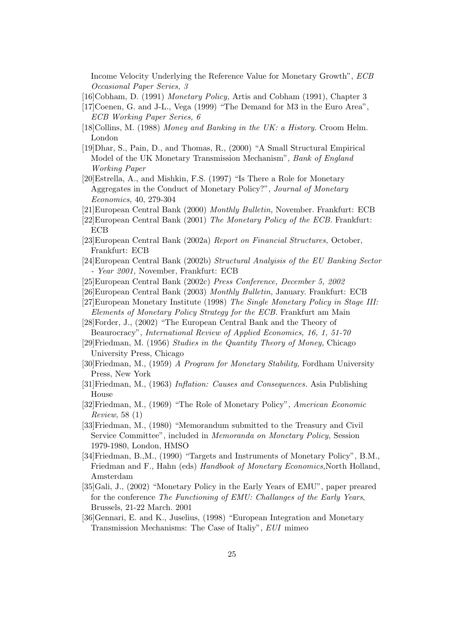Income Velocity Underlying the Reference Value for Monetary Growth", ECB Occasional Paper Series, 3

[16]Cobham, D. (1991) Monetary Policy, Artis and Cobham (1991), Chapter 3

- [17]Coenen, G. and J-L., Vega (1999) "The Demand for M3 in the Euro Area", ECB Working Paper Series, 6
- [18]Collins, M. (1988) Money and Banking in the UK: a History. Croom Helm. London
- [19]Dhar, S., Pain, D., and Thomas, R., (2000) "A Small Structural Empirical Model of the UK Monetary Transmission Mechanism", Bank of England Working Paper
- [20]Estrella, A., and Mishkin, F.S. (1997) "Is There a Role for Monetary Aggregates in the Conduct of Monetary Policy?", Journal of Monetary Economics, 40, 279-304
- [21]European Central Bank (2000) Monthly Bulletin, November. Frankfurt: ECB
- [22]European Central Bank (2001) The Monetary Policy of the ECB. Frankfurt: **ECB**
- [23]European Central Bank (2002a) Report on Financial Structures, October, Frankfurt: ECB
- [24]European Central Bank (2002b) Structural Analyisis of the EU Banking Sector - Year 2001, November, Frankfurt: ECB
- [25]European Central Bank (2002c) Press Conference, December 5, 2002
- [26]European Central Bank (2003) Monthly Bulletin, January. Frankfurt: ECB
- [27]European Monetary Institute (1998) The Single Monetary Policy in Stage III: Elements of Monetary Policy Strategy for the ECB. Frankfurt am Main

[28]Forder, J., (2002) "The European Central Bank and the Theory of Beaurocracy", International Review of Applied Economics, 16, 1, 51-70

- [29]Friedman, M. (1956) Studies in the Quantity Theory of Money, Chicago University Press, Chicago
- [30]Friedman, M., (1959) A Program for Monetary Stability, Fordham University Press, New York
- [31]Friedman, M., (1963) Inflation: Causes and Consequences. Asia Publishing House
- [32]Friedman, M., (1969) "The Role of Monetary Policy", American Economic Review, 58 (1)
- [33]Friedman, M., (1980) "Memorandum submitted to the Treasury and Civil Service Committee", included in Memoranda on Monetary Policy, Session 1979-1980, London, HMSO
- [34]Friedman, B.,M., (1990) "Targets and Instruments of Monetary Policy", B.M., Friedman and F., Hahn (eds) Handbook of Monetary Economics,North Holland, Amsterdam
- [35]Gali, J., (2002) "Monetary Policy in the Early Years of EMU", paper preared for the conference The Functioning of EMU: Challanges of the Early Years, Brussels, 21-22 March. 2001
- [36]Gennari, E. and K., Juselius, (1998) "European Integration and Monetary Transmission Mechanisms: The Case of Italiy", EUI mimeo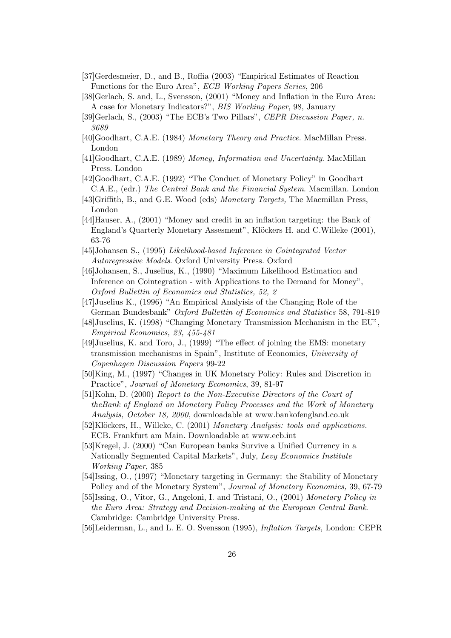- [37]Gerdesmeier, D., and B., Roffia (2003) "Empirical Estimates of Reaction Functions for the Euro Area", ECB Working Papers Series, 206
- [38]Gerlach, S. and, L., Svensson, (2001) "Money and Inflation in the Euro Area: A case for Monetary Indicators?", BIS Working Paper, 98, January
- [39]Gerlach, S., (2003) "The ECB's Two Pillars", CEPR Discussion Paper, n. 3689
- [40]Goodhart, C.A.E. (1984) Monetary Theory and Practice. MacMillan Press. London
- [41]Goodhart, C.A.E. (1989) Money, Information and Uncertainty. MacMillan Press. London
- [42]Goodhart, C.A.E. (1992) "The Conduct of Monetary Policy" in Goodhart C.A.E., (edr.) The Central Bank and the Financial System. Macmillan. London
- [43]Griffith, B., and G.E. Wood (eds) Monetary Targets, The Macmillan Press, London
- [44]Hauser, A., (2001) "Money and credit in an inflation targeting: the Bank of England's Quarterly Monetary Assesment", Klöckers H. and C.Willeke (2001), 63-76
- [45]Johansen S., (1995) Likelihood-based Inference in Cointegrated Vector Autoregressive Models. Oxford University Press. Oxford
- [46]Johansen, S., Juselius, K., (1990) "Maximum Likelihood Estimation and Inference on Cointegration - with Applications to the Demand for Money", Oxford Bullettin of Economics and Statistics, 52, 2
- [47]Juselius K., (1996) "An Empirical Analyisis of the Changing Role of the German Bundesbank" Oxford Bullettin of Economics and Statistics 58, 791-819
- [48]Juselius, K. (1998) "Changing Monetary Transmission Mechanism in the EU", Empirical Economics, 23, 455-481
- [49]Juselius, K. and Toro, J., (1999) "The effect of joining the EMS: monetary transmission mechanisms in Spain", Institute of Economics, University of Copenhagen Discussion Papers 99-22
- [50]King, M., (1997) "Changes in UK Monetary Policy: Rules and Discretion in Practice", Journal of Monetary Economics, 39, 81-97
- [51]Kohn, D. (2000) Report to the Non-Executive Directors of the Court of theBank of England on Monetary Policy Processes and the Work of Monetary Analysis, October 18, 2000, downloadable at www.bankofengland.co.uk
- [52]Klöckers, H., Willeke, C. (2001) Monetary Analysis: tools and applications. ECB. Frankfurt am Main. Downloadable at www.ecb.int
- [53]Kregel, J. (2000) "Can European banks Survive a Unified Currency in a Nationally Segmented Capital Markets", July, Levy Economics Institute Working Paper, 385
- [54]Issing, O., (1997) "Monetary targeting in Germany: the Stability of Monetary Policy and of the Monetary System", Journal of Monetary Economics, 39, 67-79
- [55]Issing, O., Vitor, G., Angeloni, I. and Tristani, O., (2001) Monetary Policy in the Euro Area: Strategy and Decision-making at the European Central Bank. Cambridge: Cambridge University Press.
- [56]Leiderman, L., and L. E. O. Svensson (1995), Inflation Targets, London: CEPR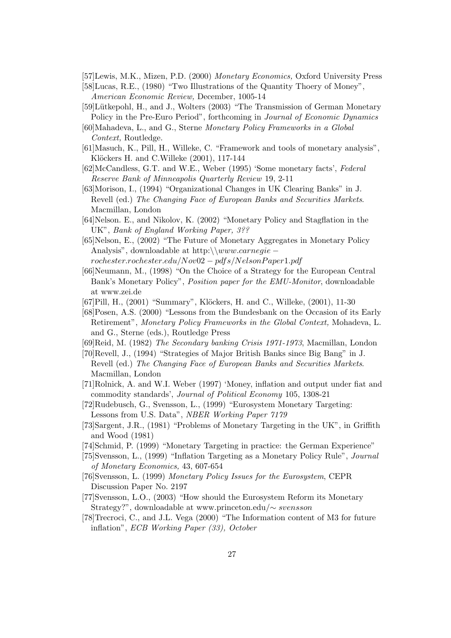[57]Lewis, M.K., Mizen, P.D. (2000) Monetary Economics, Oxford University Press

[58]Lucas, R.E., (1980) "Two Illustrations of the Quantity Thoery of Money", American Economic Review, December, 1005-14

- [59]Lütkepohl, H., and J., Wolters (2003) "The Transmission of German Monetary Policy in the Pre-Euro Period", forthcoming in Journal of Economic Dynamics
- [60]Mahadeva, L., and G., Sterne Monetary Policy Frameworks in a Global Context, Routledge.
- [61]Masuch, K., Pill, H., Willeke, C. "Framework and tools of monetary analysis", Klöckers H. and C.Willeke (2001), 117-144
- [62]McCandless, G.T. and W.E., Weber (1995) 'Some monetary facts', Federal Reserve Bank of Minneapolis Quarterly Review 19, 2-11
- [63]Morison, I., (1994) "Organizational Changes in UK Clearing Banks" in J. Revell (ed.) The Changing Face of European Banks and Securities Markets. Macmillan, London
- [64]Nelson. E., and Nikolov, K. (2002) "Monetary Policy and Stagflation in the UK", Bank of England Working Paper, 3??
- [65]Nelson, E., (2002) "The Future of Monetary Aggregates in Monetary Policy Analysis", downloadable at http:\\www.carnegie –  $rochester. rochecker.edu/Nov02 - pdfs/Nelson Paper 1.pdf$
- [66]Neumann, M., (1998) "On the Choice of a Strategy for the European Central Bank's Monetary Policy", Position paper for the EMU-Monitor, downloadable at www.zei.de
- [67]Pill, H., (2001) "Summary", Klöckers, H. and C., Willeke, (2001), 11-30
- [68]Posen, A.S. (2000) "Lessons from the Bundesbank on the Occasion of its Early Retirement", Monetary Policy Frameworks in the Global Context, Mohadeva, L. and G., Sterne (eds.), Routledge Press
- [69]Reid, M. (1982) The Secondary banking Crisis 1971-1973, Macmillan, London
- [70]Revell, J., (1994) "Strategies of Major British Banks since Big Bang" in J. Revell (ed.) The Changing Face of European Banks and Securities Markets. Macmillan, London
- [71]Rolnick, A. and W.I. Weber (1997) 'Money, inflation and output under fiat and commodity standards', Journal of Political Economy 105, 1308-21
- [72]Rudebusch, G., Svensson, L., (1999) "Eurosystem Monetary Targeting: Lessons from U.S. Data", NBER Working Paper 7179
- [73]Sargent, J.R., (1981) "Problems of Monetary Targeting in the UK", in Griffith and Wood (1981)
- [74]Schmid, P. (1999) "Monetary Targeting in practice: the German Experience"
- [75]Svensson, L., (1999) "Inflation Targeting as a Monetary Policy Rule", Journal of Monetary Economics, 43, 607-654
- [76]Svensson, L. (1999) Monetary Policy Issues for the Eurosystem, CEPR Discussion Paper No. 2197
- [77]Svensson, L.O., (2003) "How should the Eurosystem Reform its Monetary Strategy?", downloadable at www.princeton.edu/∼ svensson
- [78]Trecroci, C., and J.L. Vega (2000) "The Information content of M3 for future inflation", ECB Working Paper (33), October